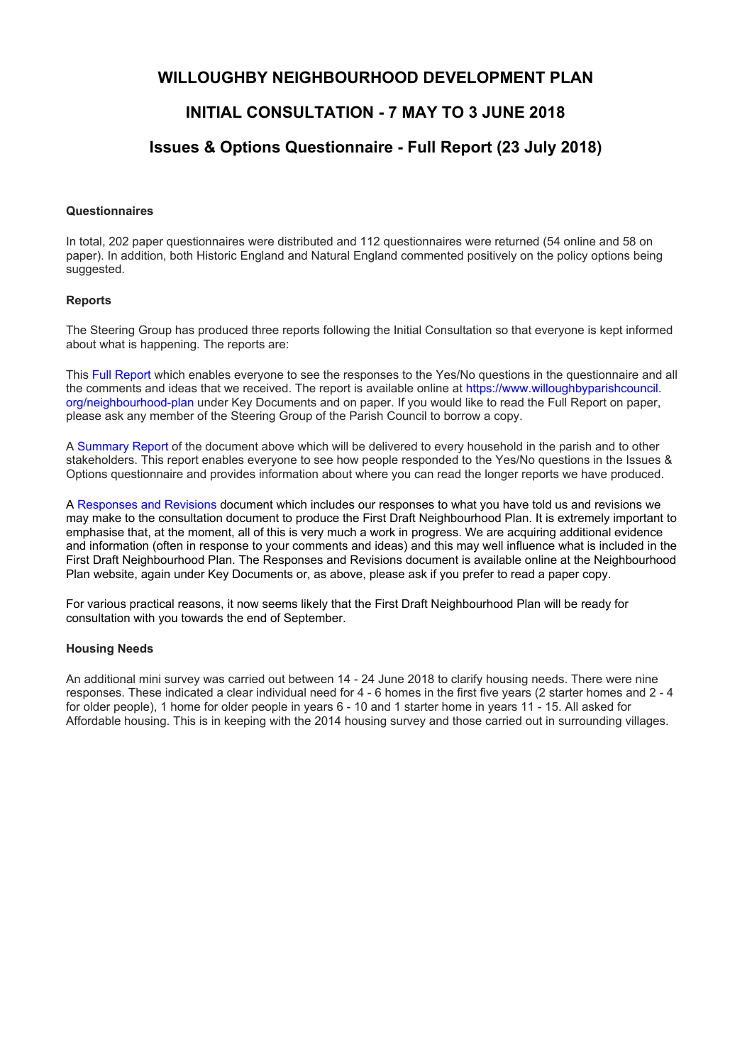## **WILLOUGHBY NEIGHBOURHOOD DEVELOPMENT PLAN**

# **INITIAL CONSULTATION - 7 MAY TO 3 JUNE 2018**

# **Issues & Options Questionnaire - Full Report (23 July 2018)**

### **Questionnaires**

In total, 202 paper questionnaires were distributed and 112 questionnaires were returned (54 online and 58 on paper). In addition, both Historic England and Natural England commented positively on the policy options being suggested.

### **Reports**

The Steering Group has produced three reports following the Initial Consultation so that everyone is kept informed about what is happening. The reports are:

This Full Report which enables everyone to see the responses to the Yes/No questions in the questionnaire and all the comments and ideas that we received. The report is available online at https://www.willoughbyparishcouncil. org/neighbourhood-plan under Key Documents and on paper. If you would like to read the Full Report on paper, please ask any member of the Steering Group of the Parish Council to borrow a copy.

A Summary Report of the document above which will be delivered to every household in the parish and to other stakeholders. This report enables everyone to see how people responded to the Yes/No questions in the Issues & Options questionnaire and provides information about where you can read the longer reports we have produced.

A Responses and Revisions document which includes our responses to what you have told us and revisions we may make to the consultation document to produce the First Draft Neighbourhood Plan. It is extremely important to emphasise that, at the moment, all of this is very much a work in progress. We are acquiring additional evidence and information (often in response to your comments and ideas) and this may well influence what is included in the First Draft Neighbourhood Plan. The Responses and Revisions document is available online at the Neighbourhood Plan website, again under Key Documents or, as above, please ask if you prefer to read a paper copy.

For various practical reasons, it now seems likely that the First Draft Neighbourhood Plan will be ready for consultation with you towards the end of September.

### **Housing Needs**

An additional mini survey was carried out between 14 - 24 June 2018 to clarify housing needs. There were nine responses. These indicated a clear individual need for 4 - 6 homes in the first five years (2 starter homes and 2 - 4 for older people), 1 home for older people in years 6 - 10 and 1 starter home in years 11 - 15. All asked for Affordable housing. This is in keeping with the 2014 housing survey and those carried out in surrounding villages.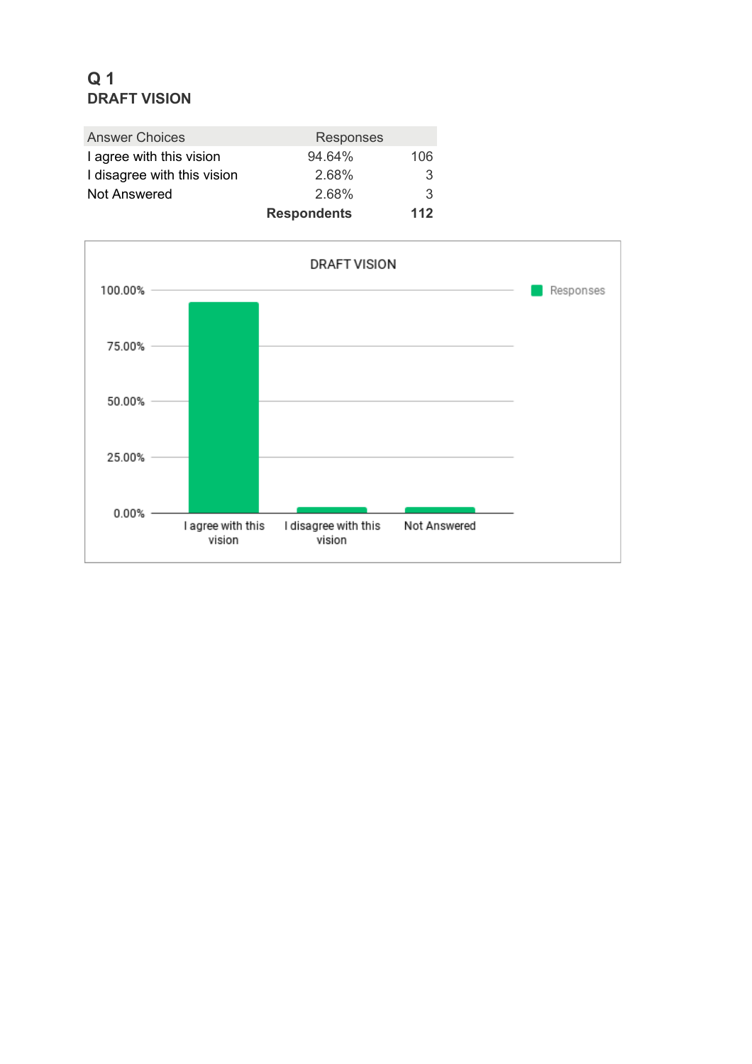# **Q 1 DRAFT VISION**

| <b>Answer Choices</b>       | Responses          |     |
|-----------------------------|--------------------|-----|
| I agree with this vision    | 94.64%             | 106 |
| I disagree with this vision | 2.68%              | 3   |
| <b>Not Answered</b>         | 2.68%              | 3   |
|                             | <b>Respondents</b> | 112 |

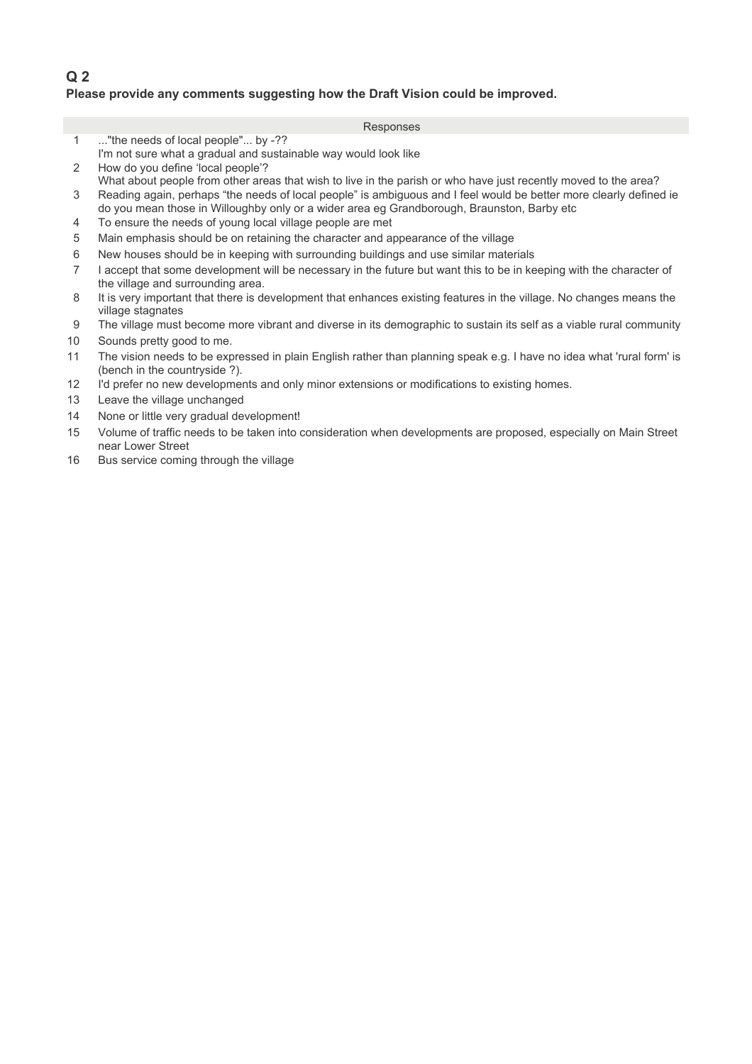## **Q 2 Please provide any comments suggesting how the Draft Vision could be improved.**

- 1 ..."the needs of local people"... by -??
- I'm not sure what a gradual and sustainable way would look like
- 2 How do you define 'local people'?
- What about people from other areas that wish to live in the parish or who have just recently moved to the area? 3 Reading again, perhaps "the needs of local people" is ambiguous and I feel would be better more clearly defined ie
- 10 do you mean those in Willoughby only or a wider area eg Grandborough, Braunston, Barby etc
- 4 To ensure the needs of young local village people are met
- 5 Main emphasis should be on retaining the character and appearance of the village
- 6 New houses should be in keeping with surrounding buildings and use similar materials
- 7 the village and surrounding area. I accept that some development will be necessary in the future but want this to be in keeping with the character of
- 8 village stagnates It is very important that there is development that enhances existing features in the village. No changes means the
- 9 The village must become more vibrant and diverse in its demographic to sustain its self as a viable rural community
- 10 Sounds pretty good to me.
- 11 (bench in the countryside ?). The vision needs to be expressed in plain English rather than planning speak e.g. I have no idea what 'rural form' is
- 12 I'd prefer no new developments and only minor extensions or modifications to existing homes.
- 13 Leave the village unchanged
- 14 None or little very gradual development!
- 15 60 near Lower Street Volume of traffic needs to be taken into consideration when developments are proposed, especially on Main Street
- 16 Bus service coming through the village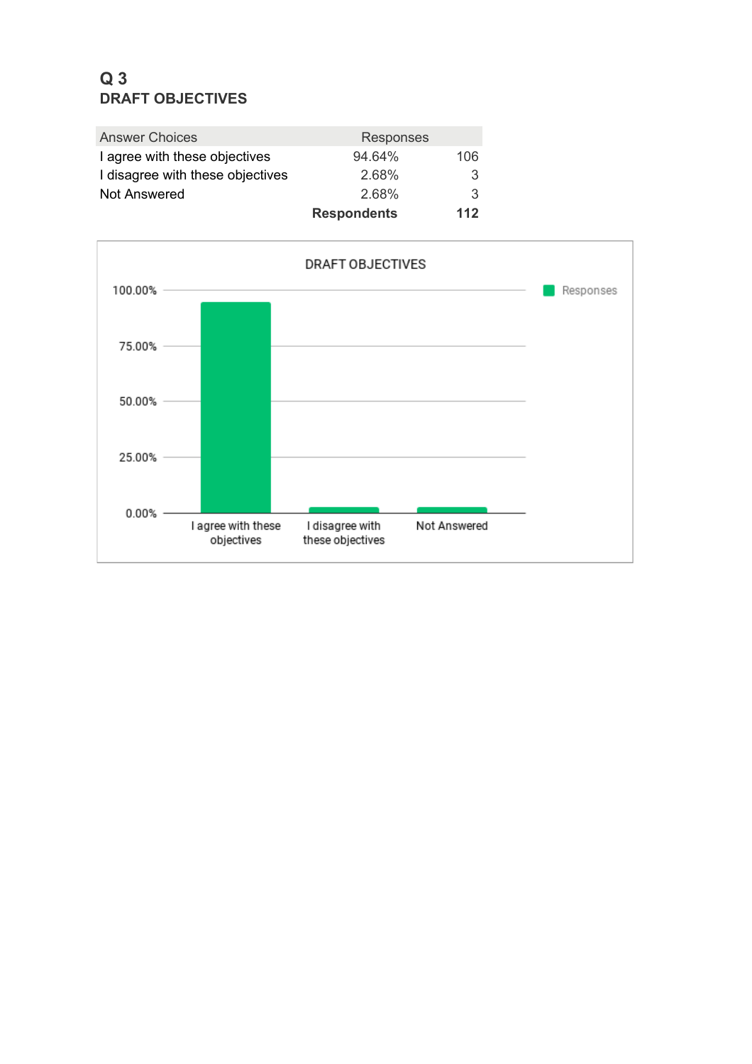# **Q 3 DRAFT OBJECTIVES**

| <b>Answer Choices</b>            | <b>Responses</b>   |     |
|----------------------------------|--------------------|-----|
| I agree with these objectives    | 94.64%             | 106 |
| I disagree with these objectives | 2.68%              | 3   |
| Not Answered                     | 2.68%              | 3   |
|                                  | <b>Respondents</b> | 112 |

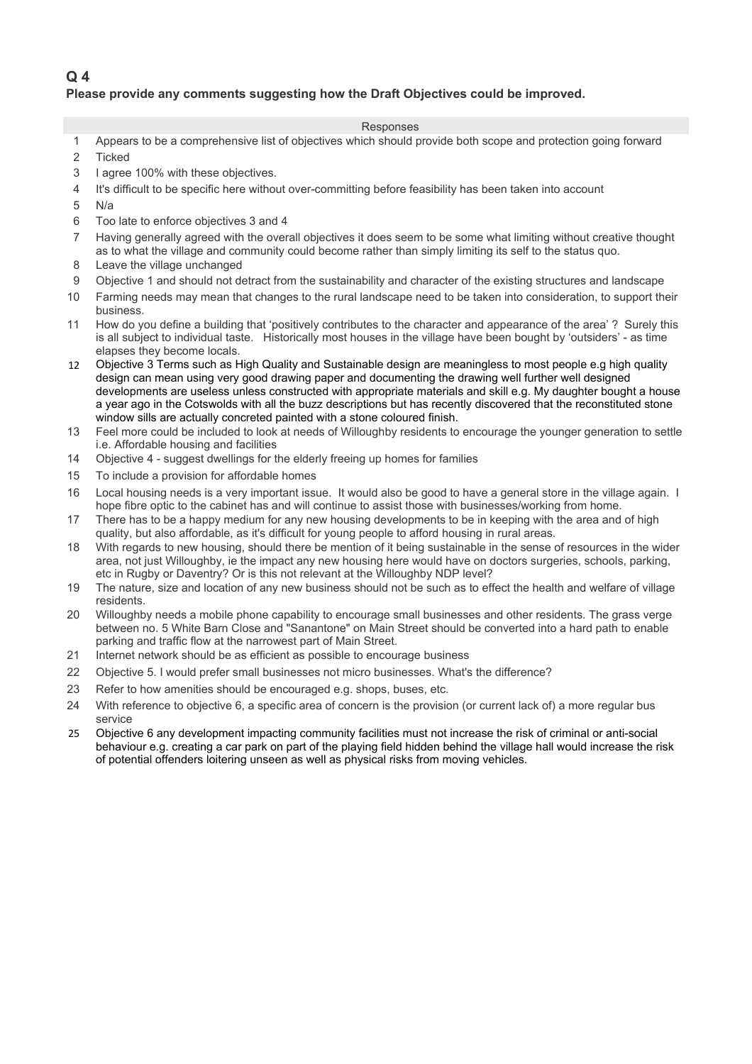## **Q 4 Please provide any comments suggesting how the Draft Objectives could be improved.**

- 1 Appears to be a comprehensive list of objectives which should provide both scope and protection going forward
- 2 Ticked
- 3 1 agree 100% with these objectives.
- 4 It's difficult to be specific here without over-committing before feasibility has been taken into account
- $5$  N/a
- 6 Too late to enforce objectives 3 and 4
- 7 Having generally agreed with the overall objectives it does seem to be some what limiting without creative thought as to what the village and community could become rather than simply limiting its self to the status quo.
- 8 Leave the village unchanged
- 9 Objective 1 and should not detract from the sustainability and character of the existing structures and landscape
- 10 Farming needs may mean that changes to the rural landscape need to be taken into consideration, to support their business.
- 11 How do you define a building that 'positively contributes to the character and appearance of the area' ? Surely this is all subject to individual taste. Historically most houses in the village have been bought by 'outsiders' - as time elapses they become locals.
- 12 Objective 3 Terms such as High Quality and Sustainable design are meaningless to most people e.g high quality design can mean using very good drawing paper and documenting the drawing well further well designed developments are useless unless constructed with appropriate materials and skill e.g. My daughter bought a house a year ago in the Cotswolds with all the buzz descriptions but has recently discovered that the reconstituted stone window sills are actually concreted painted with a stone coloured finish.
- 13 Feel more could be included to look at needs of Willoughby residents to encourage the younger generation to settle i.e. Affordable housing and facilities
- 14 Objective 4 suggest dwellings for the elderly freeing up homes for families
- 15 To include a provision for affordable homes
- 16 80Local housing needs is a very important issue. It would also be good to have a general store in the village again. I hope fibre optic to the cabinet has and will continue to assist those with businesses/working from home.
- 17 There has to be a happy medium for any new housing developments to be in keeping with the area and of high quality, but also affordable, as it's difficult for young people to afford housing in rural areas.
- 18 With regards to new housing, should there be mention of it being sustainable in the sense of resources in the wider area, not just Willoughby, ie the impact any new housing here would have on doctors surgeries, schools, parking, etc in Rugby or Daventry? Or is this not relevant at the Willoughby NDP level?
- 19 The nature, size and location of any new business should not be such as to effect the health and welfare of village residents.
- 20 Willoughby needs a mobile phone capability to encourage small businesses and other residents. The grass verge between no. 5 White Barn Close and "Sanantone" on Main Street should be converted into a hard path to enable parking and traffic flow at the narrowest part of Main Street.
- 21 Internet network should be as efficient as possible to encourage business
- 22 Objective 5. I would prefer small businesses not micro businesses. What's the difference?
- 23 Refer to how amenities should be encouraged e.g. shops, buses, etc.
- 24 With reference to objective 6, a specific area of concern is the provision (or current lack of) a more regular bus service
- 25 Objective 6 any development impacting community facilities must not increase the risk of criminal or anti-social behaviour e.g. creating a car park on part of the playing field hidden behind the village hall would increase the risk of potential offenders loitering unseen as well as physical risks from moving vehicles.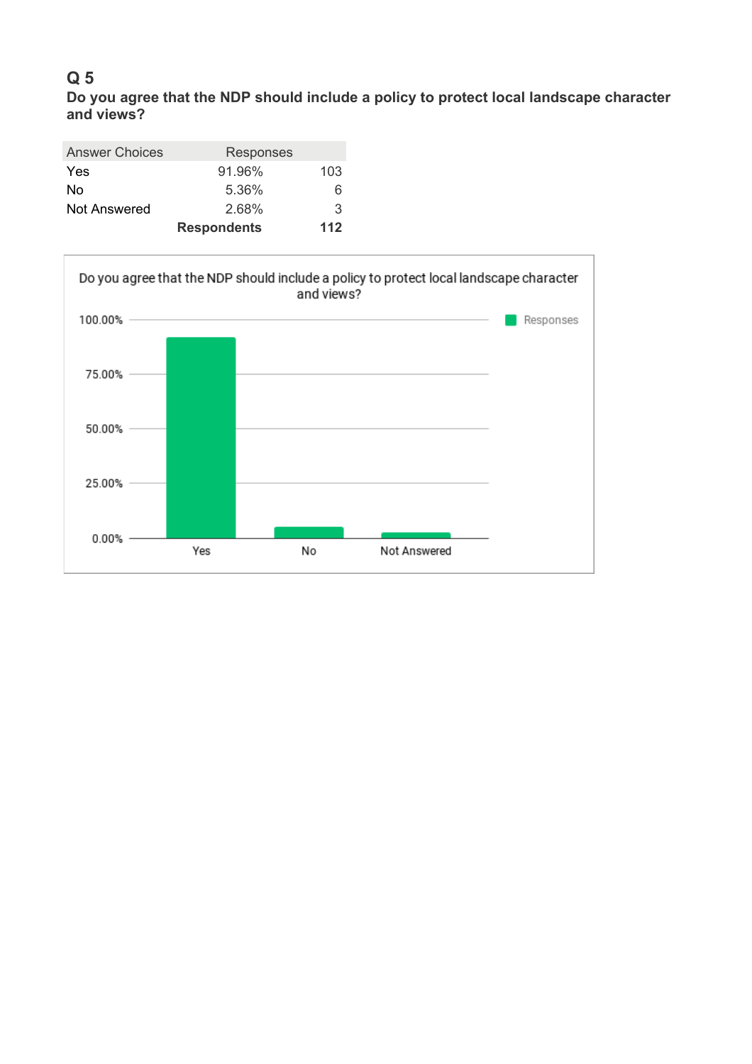**Do you agree that the NDP should include a policy to protect local landscape character and views?**

| <b>Answer Choices</b> | <b>Responses</b>   |     |
|-----------------------|--------------------|-----|
| <b>Yes</b>            | 91.96%             | 103 |
| No                    | 5.36%              | 6   |
| Not Answered          | 2.68%              | 3   |
|                       | <b>Respondents</b> | 112 |

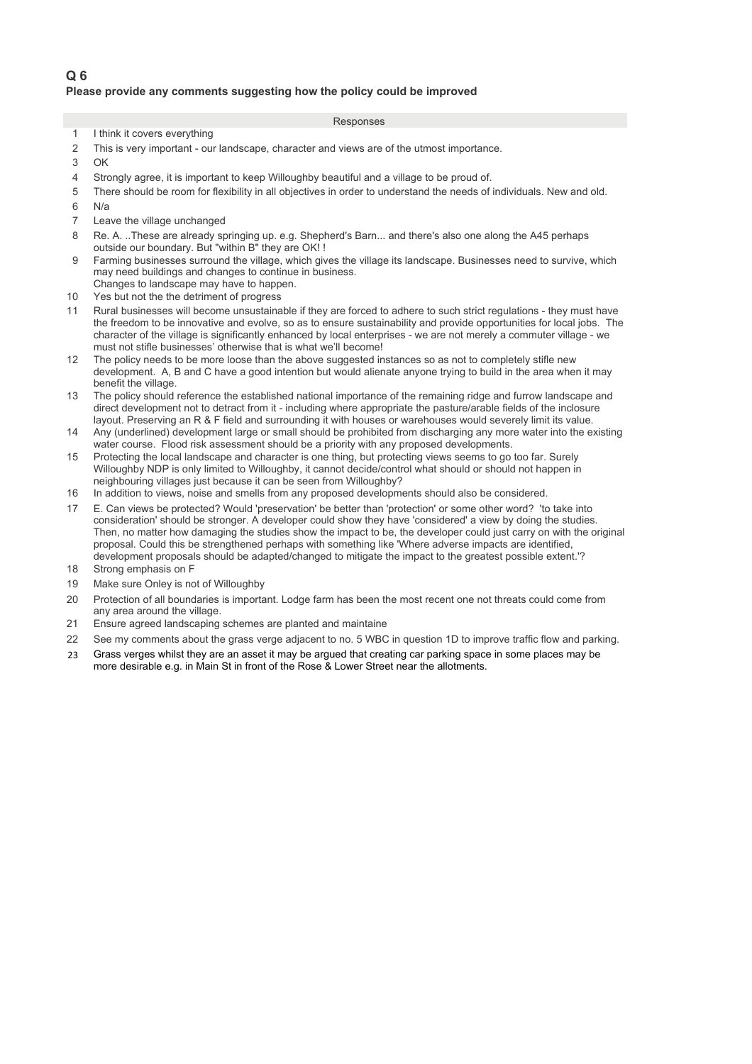### **Please provide any comments suggesting how the policy could be improved**

- 1 I think it covers everything
- 2 This is very important our landscape, character and views are of the utmost importance.
- $3$   $0K$
- 4 Strongly agree, it is important to keep Willoughby beautiful and a village to be proud of.
- 5 20There should be room for flexibility in all objectives in order to understand the needs of individuals. New and old.
- $6$  N/a
- 7 **Leave the village unchanged**
- 8 Re. A. ..These are already springing up. e.g. Shepherd's Barn... and there's also one along the A45 perhaps outside our boundary. But "within B" they are OK! !
- 9 Farming businesses surround the village, which gives the village its landscape. Businesses need to survive, which may need buildings and changes to continue in business. Changes to landscape may have to happen.
- 10 Yes but not the the detriment of progress
- 11 Rural businesses will become unsustainable if they are forced to adhere to such strict regulations they must have the freedom to be innovative and evolve, so as to ensure sustainability and provide opportunities for local jobs. The character of the village is significantly enhanced by local enterprises - we are not merely a commuter village - we must not stifle businesses' otherwise that is what we'll become!
- 12 The policy needs to be more loose than the above suggested instances so as not to completely stifle new development. A, B and C have a good intention but would alienate anyone trying to build in the area when it may benefit the village.
- 13 The policy should reference the established national importance of the remaining ridge and furrow landscape and direct development not to detract from it - including where appropriate the pasture/arable fields of the inclosure layout. Preserving an R & F field and surrounding it with houses or warehouses would severely limit its value.
- 14 Any (underlined) development large or small should be prohibited from discharging any more water into the existing water course. Flood risk assessment should be a priority with any proposed developments.
- 15 Protecting the local landscape and character is one thing, but protecting views seems to go too far. Surely Willoughby NDP is only limited to Willoughby, it cannot decide/control what should or should not happen in neighbouring villages just because it can be seen from Willoughby?
- 16 In addition to views, noise and smells from any proposed developments should also be considered.
- 17 E. Can views be protected? Would 'preservation' be better than 'protection' or some other word? 'to take into consideration' should be stronger. A developer could show they have 'considered' a view by doing the studies. Then, no matter how damaging the studies show the impact to be, the developer could just carry on with the original proposal. Could this be strengthened perhaps with something like 'Where adverse impacts are identified, development proposals should be adapted/changed to mitigate the impact to the greatest possible extent.'?
- 18 Strong emphasis on F
- 19 Make sure Onley is not of Willoughby
- 20 Protection of all boundaries is important. Lodge farm has been the most recent one not threats could come from any area around the village.
- 21 Ensure agreed landscaping schemes are planted and maintaine
- 22 See my comments about the grass verge adjacent to no. 5 WBC in question 1D to improve traffic flow and parking.
- 23 Grass verges whilst they are an asset it may be argued that creating car parking space in some places may be more desirable e.g. in Main St in front of the Rose & Lower Street near the allotments.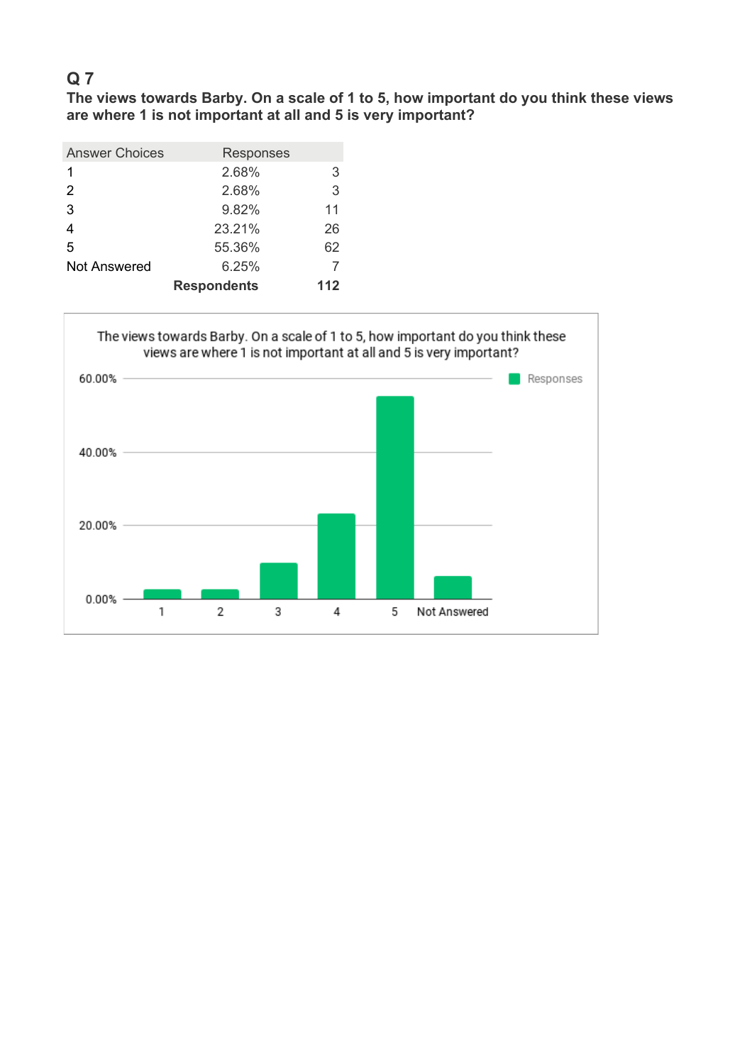**The views towards Barby. On a scale of 1 to 5, how important do you think these views are where 1 is not important at all and 5 is very important?**

| <b>Answer Choices</b> | Responses          |     |
|-----------------------|--------------------|-----|
| 1                     | 2.68%              | 3   |
| $\mathcal{P}$         | 2.68%              | 3   |
| 3                     | 9.82%              | 11  |
| 4                     | 23.21%             | 26  |
| 5                     | 55.36%             | 62  |
| <b>Not Answered</b>   | 6.25%              |     |
|                       | <b>Respondents</b> | 112 |

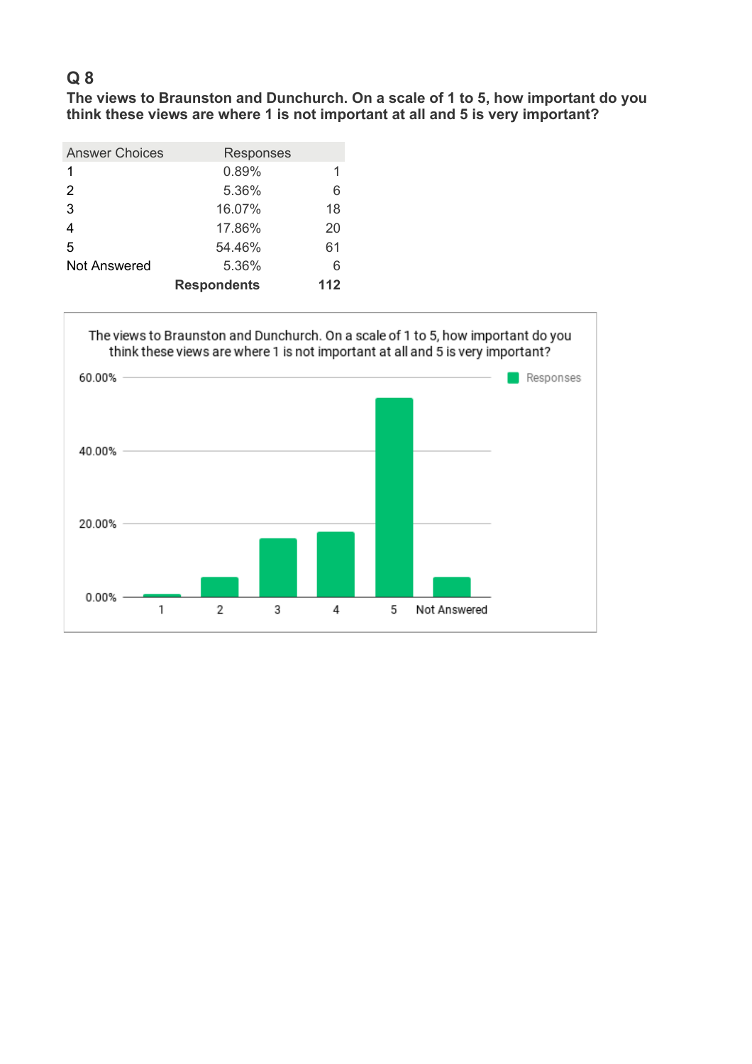**The views to Braunston and Dunchurch. On a scale of 1 to 5, how important do you think these views are where 1 is not important at all and 5 is very important?**

| <b>Answer Choices</b> | Responses          |     |
|-----------------------|--------------------|-----|
| 1                     | 0.89%              |     |
| 2                     | 5.36%              | 6   |
| 3                     | 16.07%             | 18  |
| 4                     | 17.86%             | 20  |
| 5                     | 54.46%             | 61  |
| <b>Not Answered</b>   | 5.36%              | 6   |
|                       | <b>Respondents</b> | 112 |

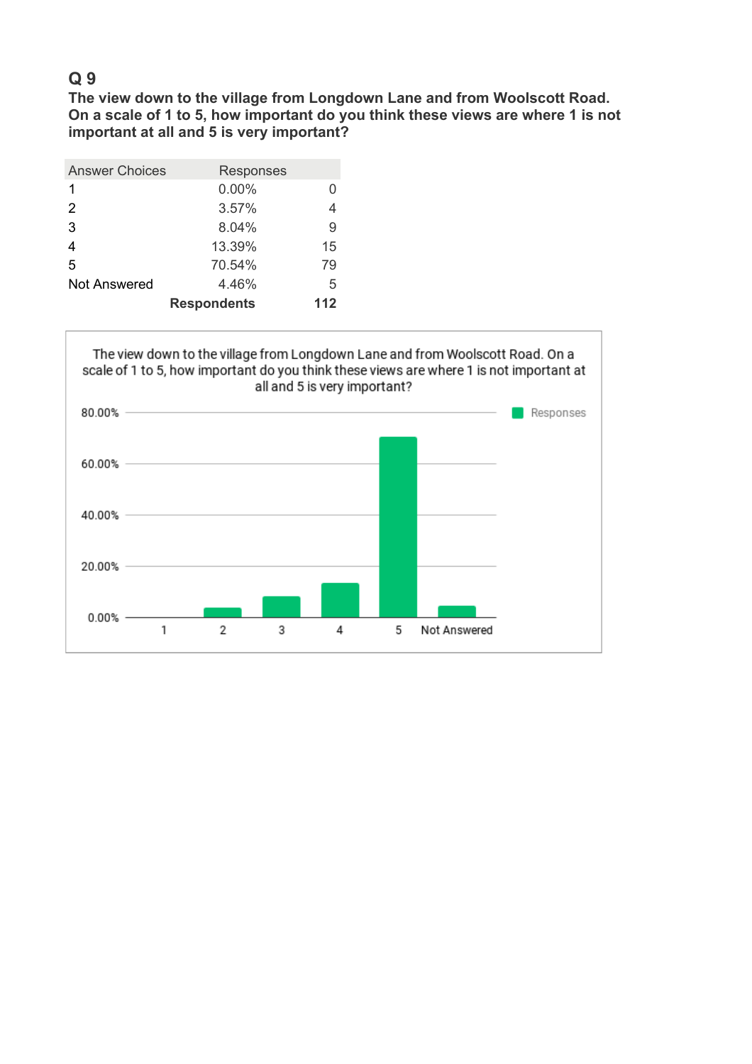**The view down to the village from Longdown Lane and from Woolscott Road. On a scale of 1 to 5, how important do you think these views are where 1 is not important at all and 5 is very important?**

| <b>Answer Choices</b> | Responses          |     |
|-----------------------|--------------------|-----|
| 1                     | 0.00%              |     |
| 2                     | 3.57%              | 4   |
| 3                     | 8.04%              | 9   |
| 4                     | 13.39%             | 15  |
| 5                     | 70.54%             | 79  |
| <b>Not Answered</b>   | 4.46%              | 5   |
|                       | <b>Respondents</b> | 112 |

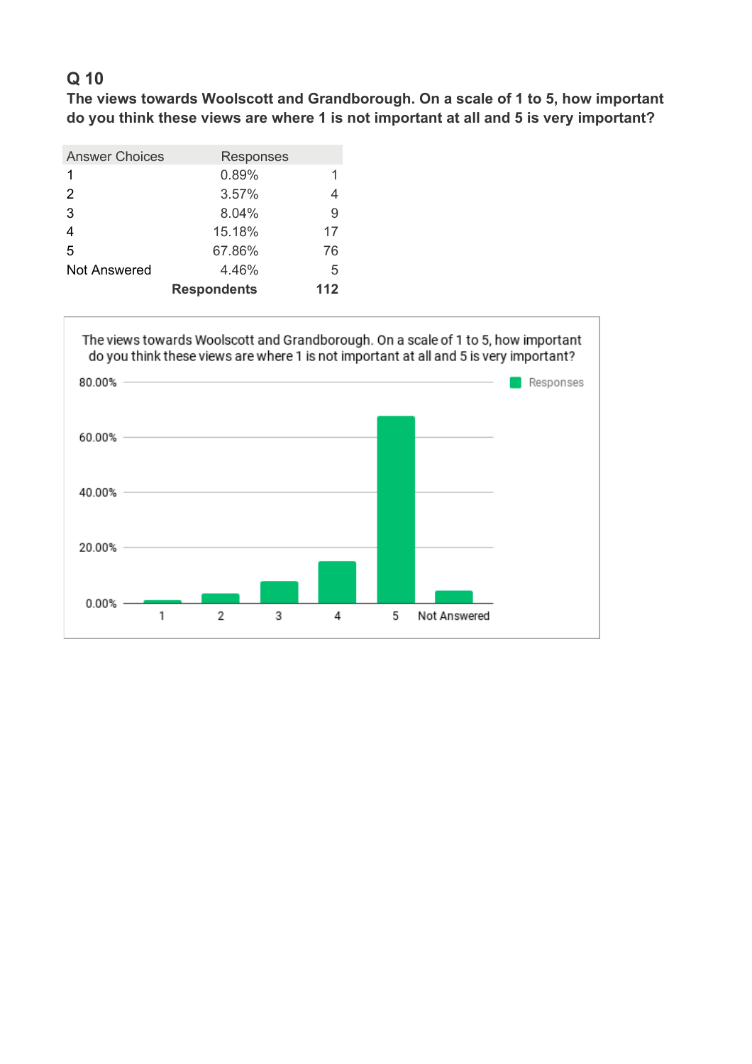**The views towards Woolscott and Grandborough. On a scale of 1 to 5, how important do you think these views are where 1 is not important at all and 5 is very important?**

| <b>Answer Choices</b> | Responses          |     |
|-----------------------|--------------------|-----|
| 1                     | 0.89%              |     |
| 2                     | 3.57%              |     |
| 3                     | 8.04%              | 9   |
|                       | 15.18%             | 17  |
| 5                     | 67.86%             | 76  |
| <b>Not Answered</b>   | 4.46%              | 5   |
|                       | <b>Respondents</b> | 112 |

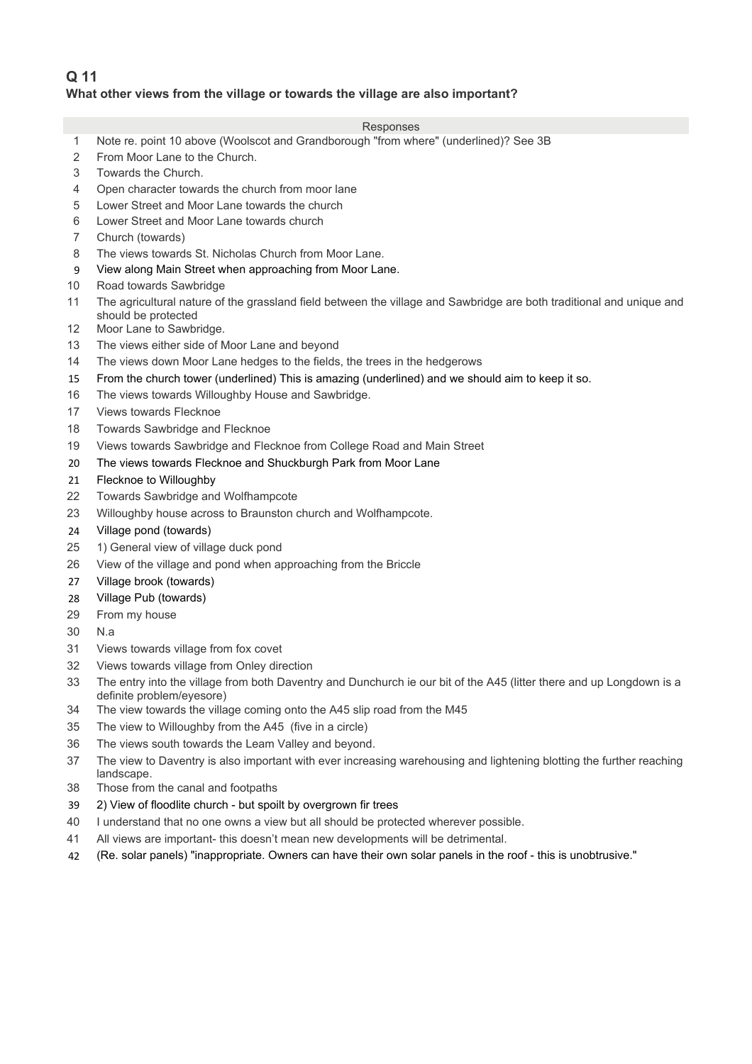# **Q 11 What other views from the village or towards the village are also important?**

- 1 Note re. point 10 above (Woolscot and Grandborough "from where" (underlined)? See 3B 2 From Moor Lane to the Church. 3 Towards the Church. 4 Open character towards the church from moor lane 5 Lower Street and Moor Lane towards the church 6 Lower Street and Moor Lane towards church 7 Church (towards) 8 The views towards St. Nicholas Church from Moor Lane. 9 View along Main Street when approaching from Moor Lane. 10 Road towards Sawbridge 11 The agricultural nature of the grassland field between the village and Sawbridge are both traditional and unique and should be protected 12 Moor Lane to Sawbridge. 13 The views either side of Moor Lane and beyond 14 The views down Moor Lane hedges to the fields, the trees in the hedgerows 15 From the church tower (underlined) This is amazing (underlined) and we should aim to keep it so. 16 The views towards Willoughby House and Sawbridge. 17 Views towards Flecknoe 18 Towards Sawbridge and Flecknoe 19 Views towards Sawbridge and Flecknoe from College Road and Main Street 20 The views towards Flecknoe and Shuckburgh Park from Moor Lane 21 Flecknoe to Willoughby 22 Towards Sawbridge and Wolfhampcote 23 Willoughby house across to Braunston church and Wolfhampcote.
	- 24 Village pond (towards)
- 25 1) General view of village duck pond
- 26 View of the village and pond when approaching from the Briccle
- 27 Village brook (towards)
- 28 Village Pub (towards)
- 29 From my house
- $30$  N.a
- 31 Views towards village from fox covet
- 32 Views towards village from Onley direction
- 33 The entry into the village from both Daventry and Dunchurch ie our bit of the A45 (litter there and up Longdown is a definite problem/eyesore)
- 34 The view towards the village coming onto the A45 slip road from the M45
- 35 The view to Willoughby from the A45 (five in a circle)
- 36 The views south towards the Leam Valley and beyond.
- 37 The view to Daventry is also important with ever increasing warehousing and lightening blotting the further reaching landscape.
- 38 Those from the canal and footpaths
- 39 2) View of floodlite church but spoilt by overgrown fir trees
- 40 I understand that no one owns a view but all should be protected wherever possible.
- 41 All views are important- this doesn't mean new developments will be detrimental.
- 42 190(Re. solar panels) "inappropriate. Owners can have their own solar panels in the roof this is unobtrusive."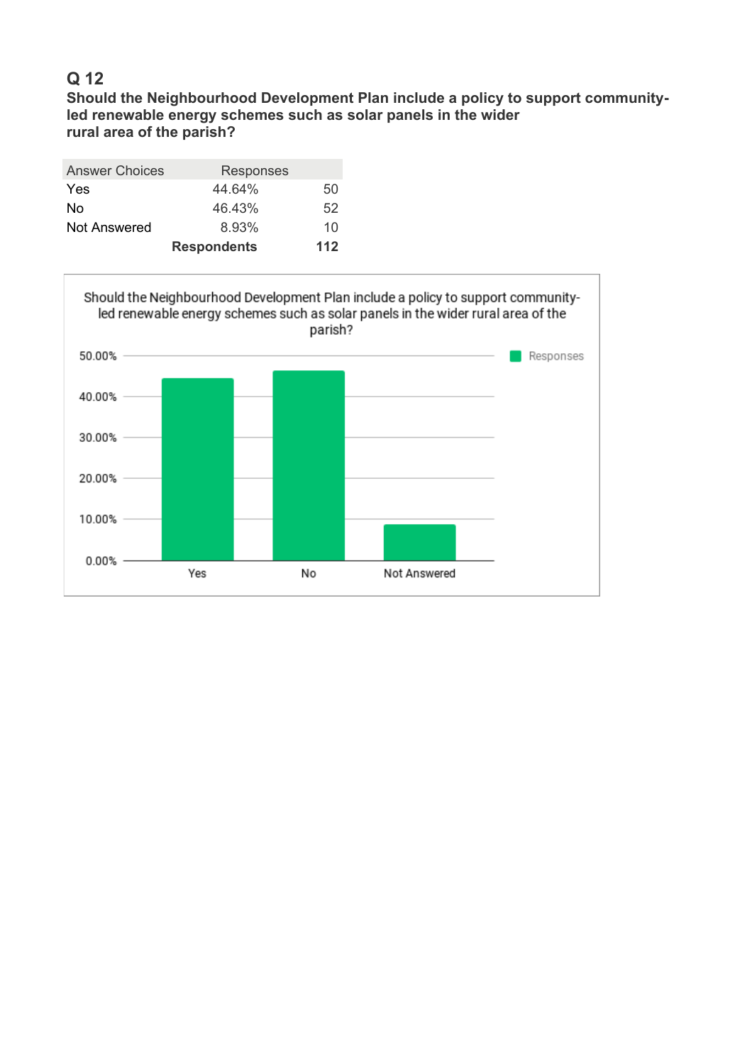**Should the Neighbourhood Development Plan include a policy to support communityled renewable energy schemes such as solar panels in the wider rural area of the parish?**

| <b>Answer Choices</b> | <b>Responses</b>   |     |
|-----------------------|--------------------|-----|
| <b>Yes</b>            | 44.64%             | 50  |
| No                    | 46.43%             | 52  |
| <b>Not Answered</b>   | 8.93%              | 10  |
|                       | <b>Respondents</b> | 112 |

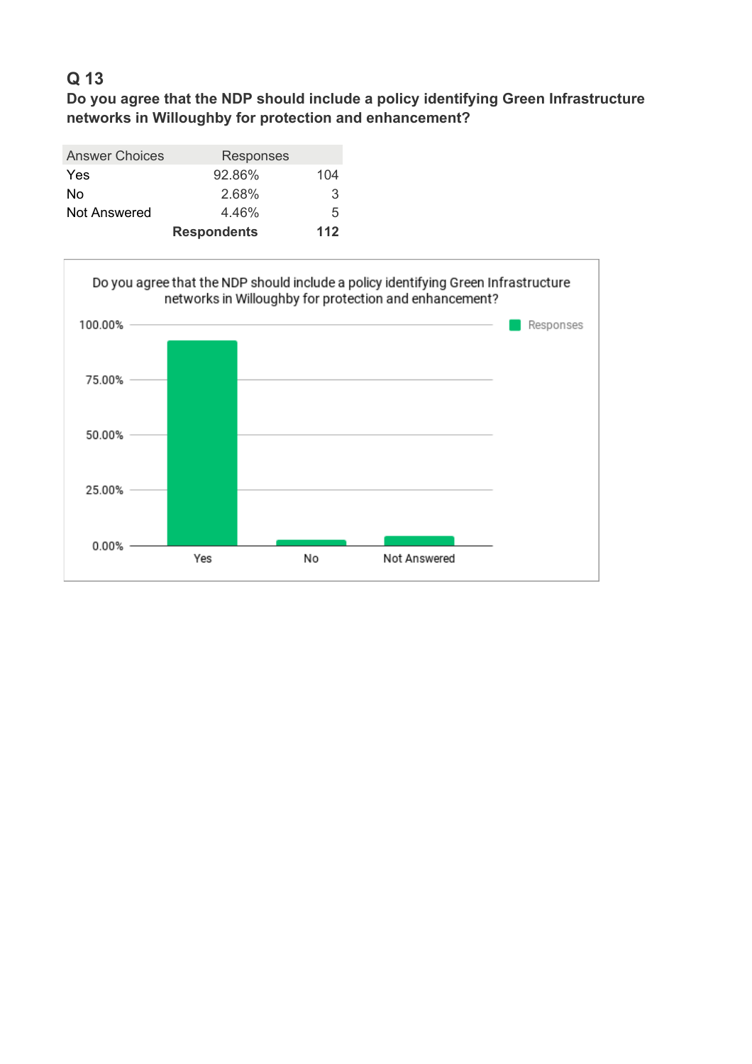**Do you agree that the NDP should include a policy identifying Green Infrastructure networks in Willoughby for protection and enhancement?**

| <b>Answer Choices</b> | Responses          |     |
|-----------------------|--------------------|-----|
| <b>Yes</b>            | 92.86%             | 104 |
| No                    | 2.68%              | 3   |
| Not Answered          | 4.46%              | 5   |
|                       | <b>Respondents</b> | 112 |

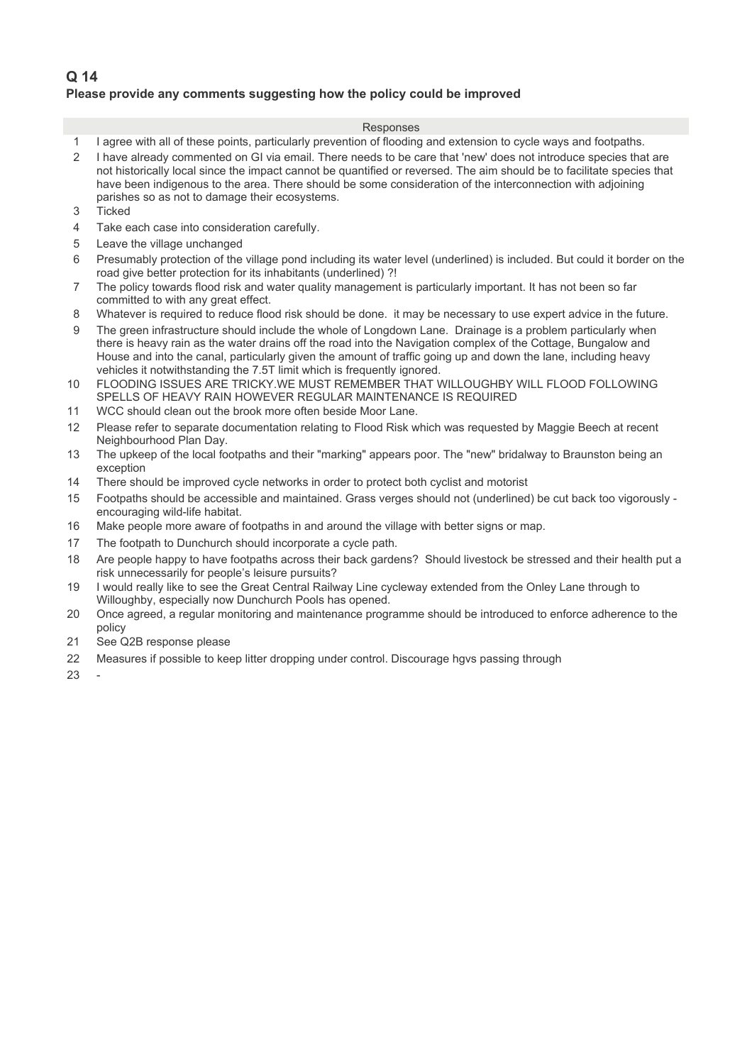## **Q 14 Please provide any comments suggesting how the policy could be improved**

### Responses

- 1 1 agree with all of these points, particularly prevention of flooding and extension to cycle ways and footpaths.
- 2 1 have already commented on GI via email. There needs to be care that 'new' does not introduce species that are not historically local since the impact cannot be quantified or reversed. The aim should be to facilitate species that have been indigenous to the area. There should be some consideration of the interconnection with adjoining parishes so as not to damage their ecosystems.
- 3 Ticked
- 4 Take each case into consideration carefully.
- 5 Leave the village unchanged
- 6 40Presumably protection of the village pond including its water level (underlined) is included. But could it border on the road give better protection for its inhabitants (underlined) ?!
- 7 The policy towards flood risk and water quality management is particularly important. It has not been so far committed to with any great effect.
- 8 Whatever is required to reduce flood risk should be done. it may be necessary to use expert advice in the future.
- 9 The green infrastructure should include the whole of Longdown Lane. Drainage is a problem particularly when there is heavy rain as the water drains off the road into the Navigation complex of the Cottage, Bungalow and House and into the canal, particularly given the amount of traffic going up and down the lane, including heavy vehicles it notwithstanding the 7.5T limit which is frequently ignored.
- 10 FLOODING ISSUES ARE TRICKY.WE MUST REMEMBER THAT WILLOUGHBY WILL FLOOD FOLLOWING SPELLS OF HEAVY RAIN HOWEVER REGULAR MAINTENANCE IS REQUIRED.
- 11 WCC should clean out the brook more often beside Moor Lane.
- 12 Please refer to separate documentation relating to Flood Risk which was requested by Maggie Beech at recent Neighbourhood Plan Day.
- 13 The upkeep of the local footpaths and their "marking" appears poor. The "new" bridalway to Braunston being an exception
- 14 There should be improved cycle networks in order to protect both cyclist and motorist
- 15 Footpaths should be accessible and maintained. Grass verges should not (underlined) be cut back too vigorously encouraging wild-life habitat.
- 16 Make people more aware of footpaths in and around the village with better signs or map.
- 17 The footpath to Dunchurch should incorporate a cycle path.
- 18 Are people happy to have footpaths across their back gardens? Should livestock be stressed and their health put a risk unnecessarily for people's leisure pursuits?
- 19 I would really like to see the Great Central Railway Line cycleway extended from the Onley Lane through to Willoughby, especially now Dunchurch Pools has opened.
- 20 Once agreed, a regular monitoring and maintenance programme should be introduced to enforce adherence to the policy
- 21 See Q2B response please
- 22 Measures if possible to keep litter dropping under control. Discourage hays passing through

23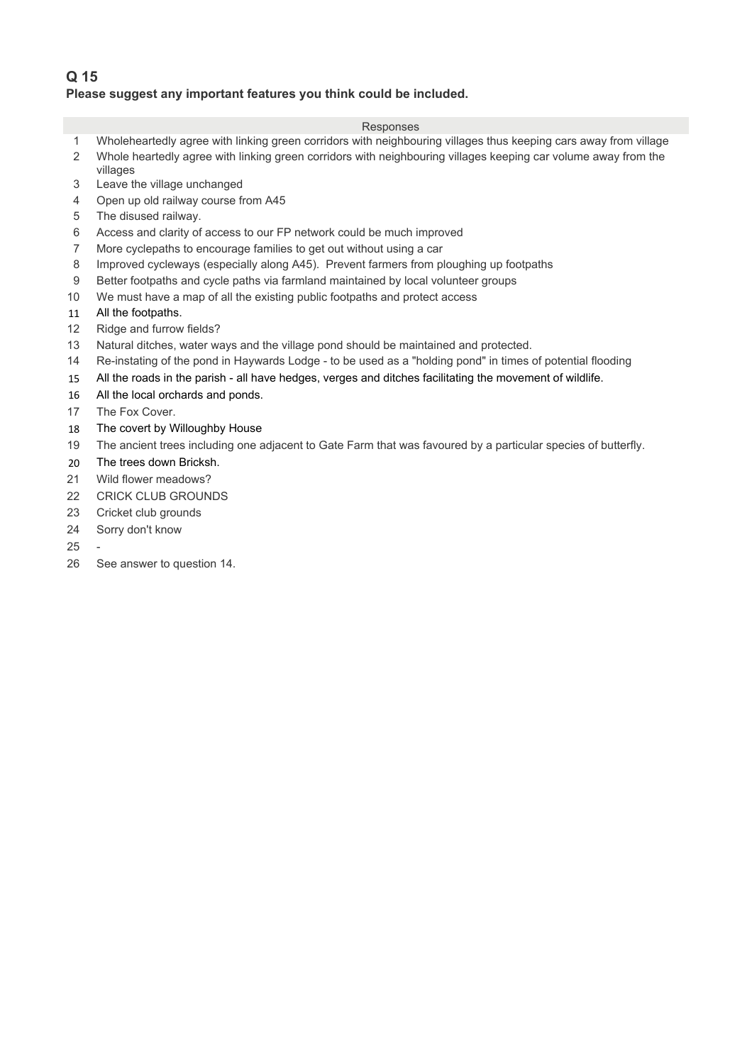## **Q 15 Please suggest any important features you think could be included.**

- 1 Wholeheartedly agree with linking green corridors with neighbouring villages thus keeping cars away from village
- 2 Whole heartedly agree with linking green corridors with neighbouring villages keeping car volume away from the
- villages 3 Leave the village unchanged
- 4 Open up old railway course from A45
- 5 The disused railway.
- 6 Access and clarity of access to our FP network could be much improved
- 7 More cyclepaths to encourage families to get out without using a car
- 8 Improved cycleways (especially along A45). Prevent farmers from ploughing up footpaths
- 9 Better footpaths and cycle paths via farmland maintained by local volunteer groups
- 10 We must have a map of all the existing public footpaths and protect access
- 11 All the footpaths.
- 12 Ridge and furrow fields?
- 13 Natural ditches, water ways and the village pond should be maintained and protected.
- 14 Re-instating of the pond in Haywards Lodge to be used as a "holding pond" in times of potential flooding
- 15 All the roads in the parish all have hedges, verges and ditches facilitating the movement of wildlife.
- 16 All the local orchards and ponds.
- 17 The Fox Cover.
- 18 The covert by Willoughby House
- 19 The ancient trees including one adjacent to Gate Farm that was favoured by a particular species of butterfly.
- 20 The trees down Bricksh.
- 21 Wild flower meadows?
- 22 CRICK CLUB GROUNDS
- 23 Cricket club grounds
- 24 Sorry don't know
- 25
- 26 See answer to question 14.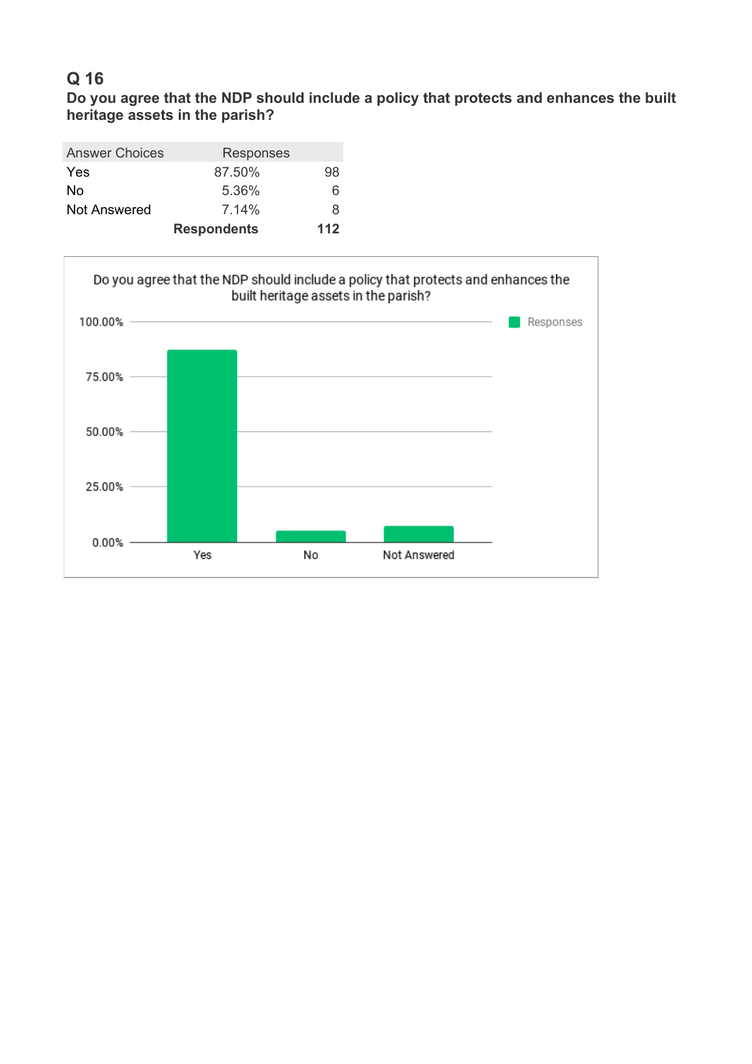**Do you agree that the NDP should include a policy that protects and enhances the built heritage assets in the parish?** 

| <b>Answer Choices</b> | Responses          |     |
|-----------------------|--------------------|-----|
| Yes                   | 87.50%             | 98  |
| No                    | 5.36%              | 6   |
| Not Answered          | $7.14\%$           | 8   |
|                       | <b>Respondents</b> | 112 |

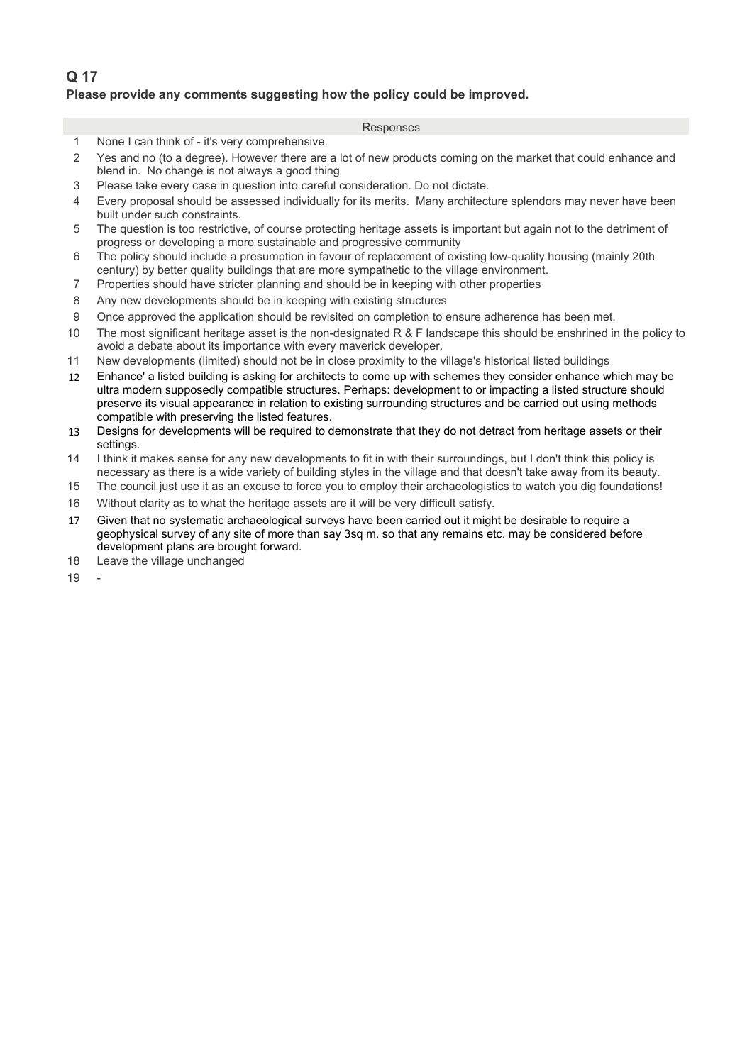## **Q 17 Please provide any comments suggesting how the policy could be improved.**

- 1 None I can think of it's very comprehensive.
- 2 Yes and no (to a degree). However there are a lot of new products coming on the market that could enhance and blend in. No change is not always a good thing
- 3 Please take every case in question into careful consideration. Do not dictate.
- 4 20Every proposal should be assessed individually for its merits. Many architecture splendors may never have been built under such constraints.
- 5 The question is too restrictive, of course protecting heritage assets is important but again not to the detriment of progress or developing a more sustainable and progressive community
- 6 30The policy should include a presumption in favour of replacement of existing low-quality housing (mainly 20th century) by better quality buildings that are more sympathetic to the village environment.
- 7 40Properties should have stricter planning and should be in keeping with other properties
- 8 Any new developments should be in keeping with existing structures
- 9 Once approved the application should be revisited on completion to ensure adherence has been met.
- 10 The most significant heritage asset is the non-designated R  $\&$  F landscape this should be enshrined in the policy to avoid a debate about its importance with every maverick developer.
- 11 New developments (limited) should not be in close proximity to the village's historical listed buildings
- 12 Enhance' a listed building is asking for architects to come up with schemes they consider enhance which may be ultra modern supposedly compatible structures. Perhaps: development to or impacting a listed structure should preserve its visual appearance in relation to existing surrounding structures and be carried out using methods compatible with preserving the listed features.
- 13 Besigns for developments will be required to demonstrate that they do not detract from heritage assets or their settings.
- 14 I think it makes sense for any new developments to fit in with their surroundings, but I don't think this policy is necessary as there is a wide variety of building styles in the village and that doesn't take away from its beauty.
- 15 The council just use it as an excuse to force you to employ their archaeologistics to watch you dig foundations!
- 16 Without clarity as to what the heritage assets are it will be very difficult satisfy.
- 17 Given that no systematic archaeological surveys have been carried out it might be desirable to require a geophysical survey of any site of more than say 3sq m. so that any remains etc. may be considered before development plans are brought forward.
- 18 Leave the village unchanged
- 19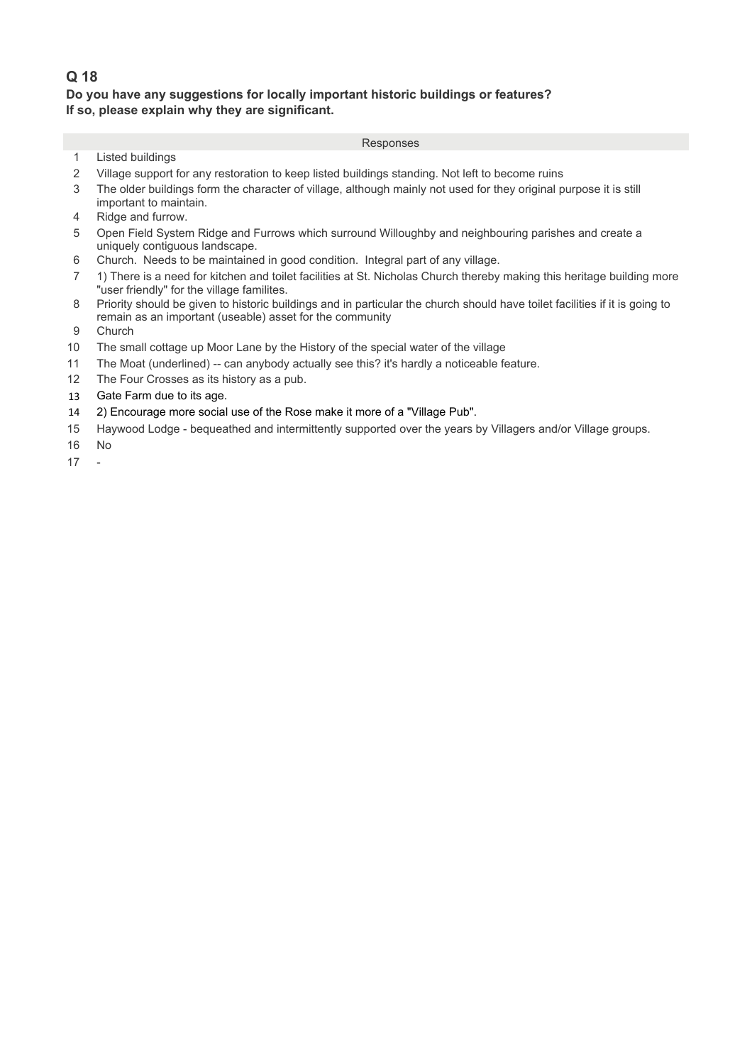## **Q 18 Do you have any suggestions for locally important historic buildings or features? If so, please explain why they are significant.**

- 1 Listed buildings
- 2 Village support for any restoration to keep listed buildings standing. Not left to become ruins
- 3 The older buildings form the character of village, although mainly not used for they original purpose it is still important to maintain.
- 4 Ridge and furrow.
- 5 Open Field System Ridge and Furrows which surround Willoughby and neighbouring parishes and create a uniquely contiguous landscape.
- 6 Church. Needs to be maintained in good condition. Integral part of any village.
- 7 401) There is a need for kitchen and toilet facilities at St. Nicholas Church thereby making this heritage building more "user friendly" for the village familites.
- 8 Priority should be given to historic buildings and in particular the church should have toilet facilities if it is going to remain as an important (useable) asset for the community
- 9 Church
- 10 The small cottage up Moor Lane by the History of the special water of the village
- 11 The Moat (underlined) -- can anybody actually see this? it's hardly a noticeable feature.
- 12 The Four Crosses as its history as a pub.
- 13 Gate Farm due to its age.
- 14 802) Encourage more social use of the Rose make it more of a "Village Pub".
- 15 Haywood Lodge bequeathed and intermittently supported over the years by Villagers and/or Village groups.
- 16 No
- $17 -$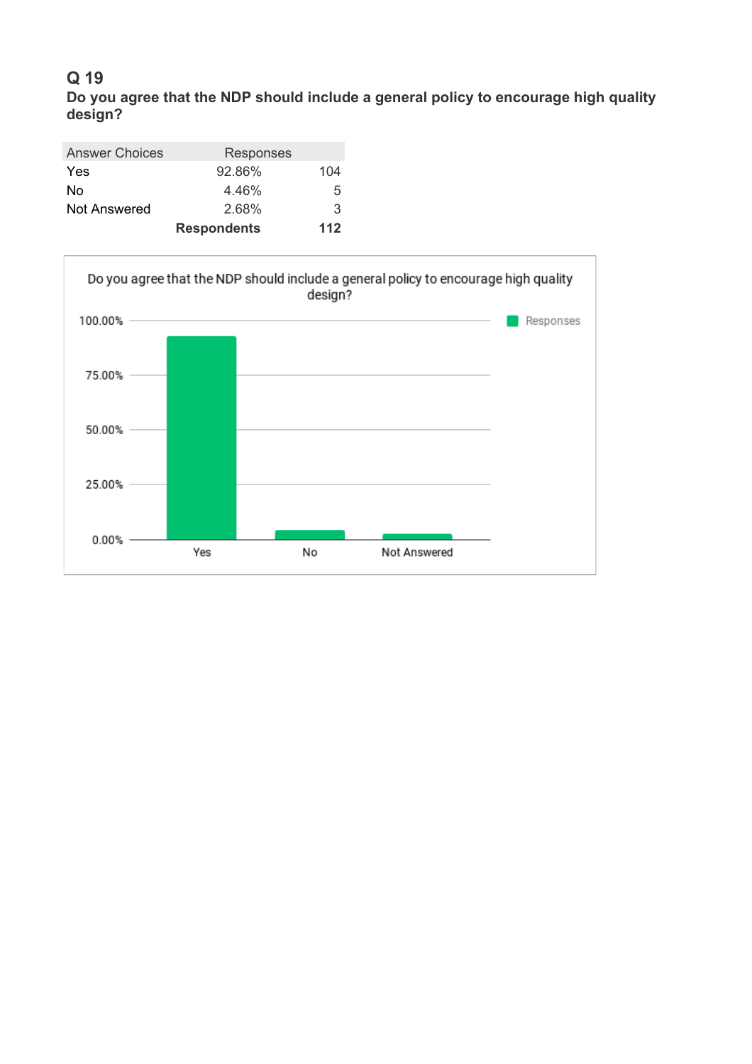**Do you agree that the NDP should include a general policy to encourage high quality design?**

| <b>Answer Choices</b> | Responses          |     |
|-----------------------|--------------------|-----|
| <b>Yes</b>            | 92.86%             | 104 |
| No                    | 4.46%              | 5   |
| <b>Not Answered</b>   | 2.68%              | 3   |
|                       | <b>Respondents</b> | 112 |

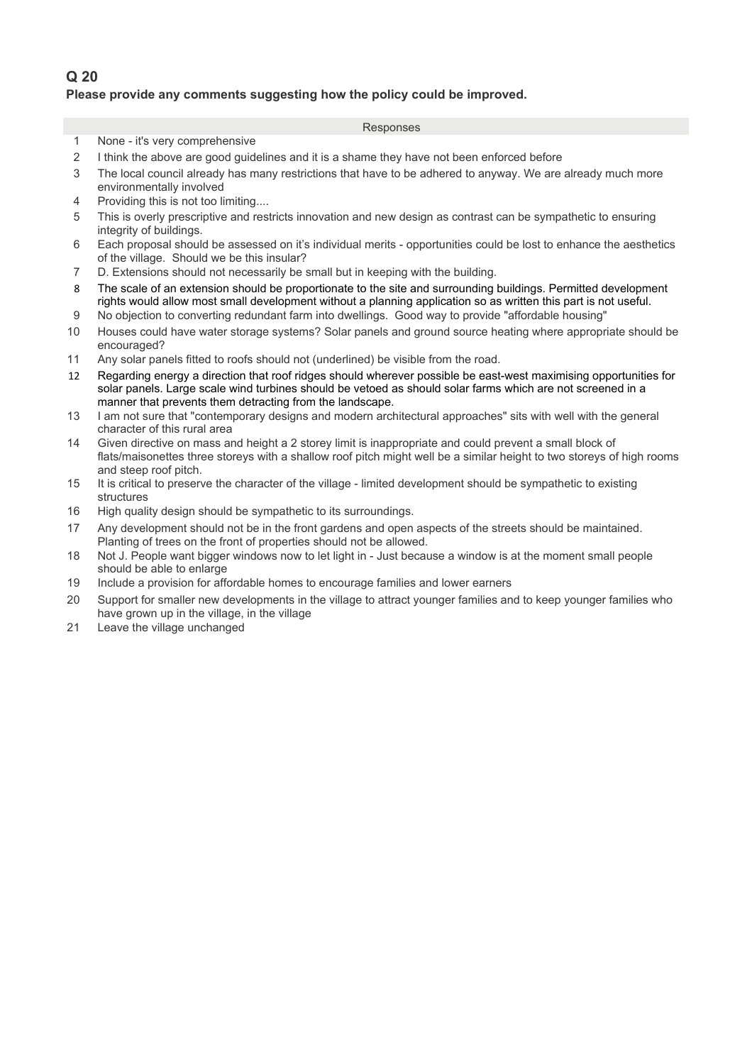## **Q 20 Please provide any comments suggesting how the policy could be improved.**

- 1 None it's very comprehensive
- 2 1 think the above are good guidelines and it is a shame they have not been enforced before
- 3 The local council already has many restrictions that have to be adhered to anyway. We are already much more environmentally involved
- 4 Providing this is not too limiting....
- 5 This is overly prescriptive and restricts innovation and new design as contrast can be sympathetic to ensuring integrity of buildings.
- 6 30Each proposal should be assessed on it's individual merits opportunities could be lost to enhance the aesthetics of the village. Should we be this insular?
- 7 D. Extensions should not necessarily be small but in keeping with the building.
- 8 The scale of an extension should be proportionate to the site and surrounding buildings. Permitted development rights would allow most small development without a planning application so as written this part is not useful.
- 9 No objection to converting redundant farm into dwellings. Good way to provide "affordable housing"
- 10 Houses could have water storage systems? Solar panels and ground source heating where appropriate should be encouraged?
- 11 Any solar panels fitted to roofs should not (underlined) be visible from the road.
- 12 Regarding energy a direction that roof ridges should wherever possible be east-west maximising opportunities for solar panels. Large scale wind turbines should be vetoed as should solar farms which are not screened in a manner that prevents them detracting from the landscape.
- 13 I am not sure that "contemporary designs and modern architectural approaches" sits with well with the general character of this rural area
- 14 60Given directive on mass and height a 2 storey limit is inappropriate and could prevent a small block of flats/maisonettes three storeys with a shallow roof pitch might well be a similar height to two storeys of high rooms and steep roof pitch.
- 15 It is critical to preserve the character of the village limited development should be sympathetic to existing structures
- 16 High quality design should be sympathetic to its surroundings.
- 17 Any development should not be in the front gardens and open aspects of the streets should be maintained. Planting of trees on the front of properties should not be allowed.
- 18 Not J. People want bigger windows now to let light in Just because a window is at the moment small people should be able to enlarge
- 19 Include a provision for affordable homes to encourage families and lower earners
- 20 Support for smaller new developments in the village to attract younger families and to keep younger families who have grown up in the village, in the village
- 21 Leave the village unchanged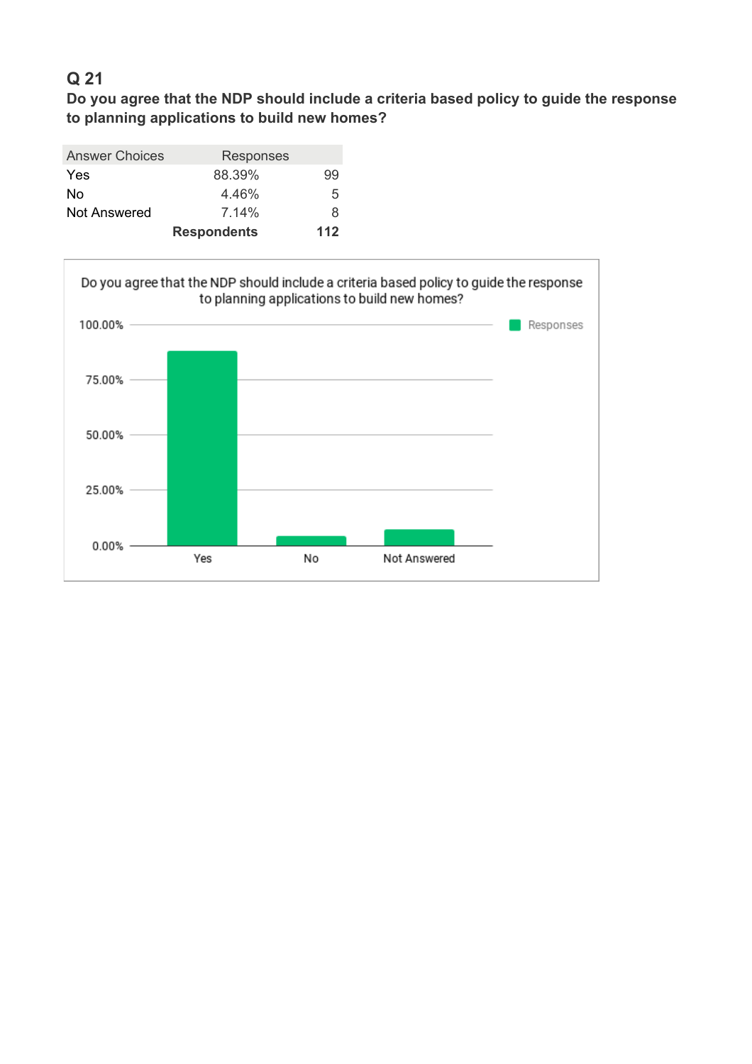**Do you agree that the NDP should include a criteria based policy to guide the response to planning applications to build new homes?**

| <b>Answer Choices</b> | Responses          |     |
|-----------------------|--------------------|-----|
| Yes                   | 88.39%             | 99  |
| No                    | 4.46%              | 5   |
| Not Answered          | $7.14\%$           | 8   |
|                       | <b>Respondents</b> | 112 |

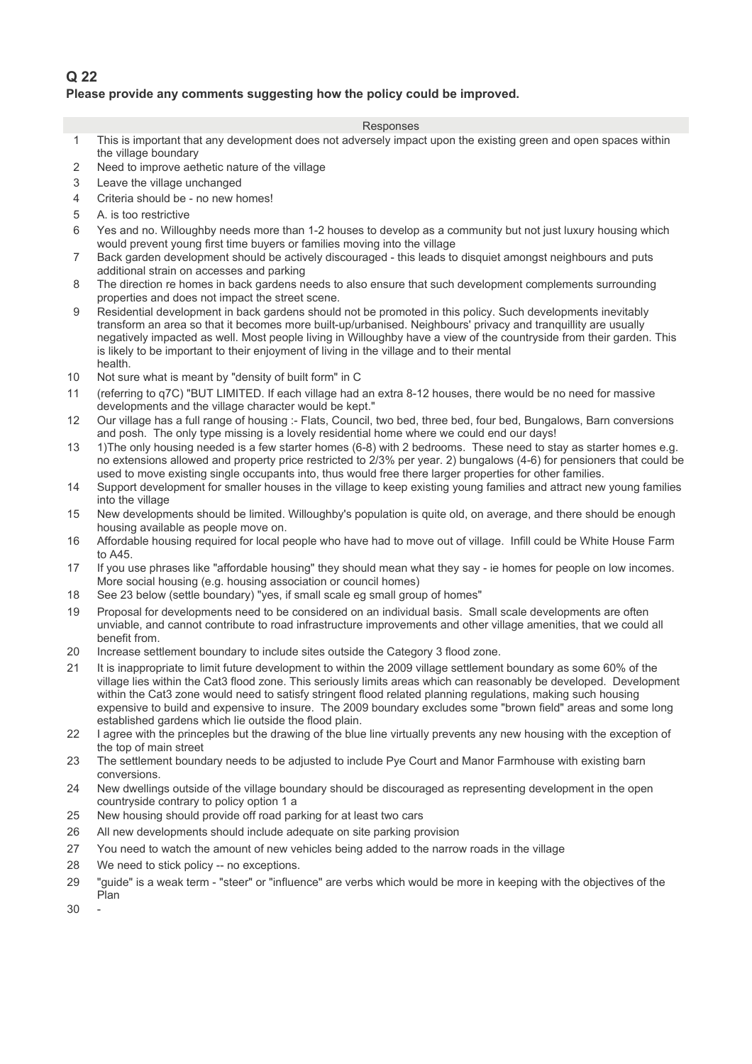## **Q 22 Please provide any comments suggesting how the policy could be improved.**

- 1 This is important that any development does not adversely impact upon the existing green and open spaces within the village boundary
- 2 Need to improve aethetic nature of the village
- 3 Leave the village unchanged
- 4 Criteria should be no new homes!
- 5 A. is too restrictive
- 6 Yes and no. Willoughby needs more than 1-2 houses to develop as a community but not just luxury housing which would prevent young first time buyers or families moving into the village
- 7 Back garden development should be actively discouraged this leads to disquiet amongst neighbours and puts additional strain on accesses and parking
- 8 The direction re homes in back gardens needs to also ensure that such development complements surrounding properties and does not impact the street scene.
- 9 Residential development in back gardens should not be promoted in this policy. Such developments inevitably transform an area so that it becomes more built-up/urbanised. Neighbours' privacy and tranquillity are usually negatively impacted as well. Most people living in Willoughby have a view of the countryside from their garden. This is likely to be important to their enjoyment of living in the village and to their mental health.
- 10 Not sure what is meant by "density of built form" in C
- 11 (referring to q7C) "BUT LIMITED. If each village had an extra 8-12 houses, there would be no need for massive developments and the village character would be kept."
- 12 Our village has a full range of housing :- Flats, Council, two bed, three bed, four bed, Bungalows, Barn conversions and posh. The only type missing is a lovely residential home where we could end our days!
- 13 1)The only housing needed is a few starter homes (6-8) with 2 bedrooms. These need to stay as starter homes e.g. no extensions allowed and property price restricted to 2/3% per year. 2) bungalows (4-6) for pensioners that could be used to move existing single occupants into, thus would free there larger properties for other families.
- 14 Support development for smaller houses in the village to keep existing young families and attract new young families into the village
- 15 New developments should be limited. Willoughby's population is quite old, on average, and there should be enough housing available as people move on.
- 16 Affordable housing required for local people who have had to move out of village. Infill could be White House Farm to A45.
- 17 If you use phrases like "affordable housing" they should mean what they say ie homes for people on low incomes. More social housing (e.g. housing association or council homes)
- 18 See 23 below (settle boundary) "yes, if small scale eg small group of homes"
- 19 Proposal for developments need to be considered on an individual basis. Small scale developments are often unviable, and cannot contribute to road infrastructure improvements and other village amenities, that we could all benefit from.
- 20 Increase settlement boundary to include sites outside the Category 3 flood zone.
- 21 It is inappropriate to limit future development to within the 2009 village settlement boundary as some 60% of the village lies within the Cat3 flood zone. This seriously limits areas which can reasonably be developed. Development within the Cat3 zone would need to satisfy stringent flood related planning regulations, making such housing expensive to build and expensive to insure. The 2009 boundary excludes some "brown field" areas and some long established gardens which lie outside the flood plain.
- 22 I agree with the princeples but the drawing of the blue line virtually prevents any new housing with the exception of the top of main street
- 23 The settlement boundary needs to be adjusted to include Pye Court and Manor Farmhouse with existing barn conversions.
- 24 New dwellings outside of the village boundary should be discouraged as representing development in the open countryside contrary to policy option 1 a
- 25 New housing should provide off road parking for at least two cars
- 26 All new developments should include adequate on site parking provision
- 27 You need to watch the amount of new vehicles being added to the narrow roads in the village
- 28 We need to stick policy -- no exceptions.
- 29 "quide" is a weak term "steer" or "influence" are verbs which would be more in keeping with the objectives of the Plan
- $30 -$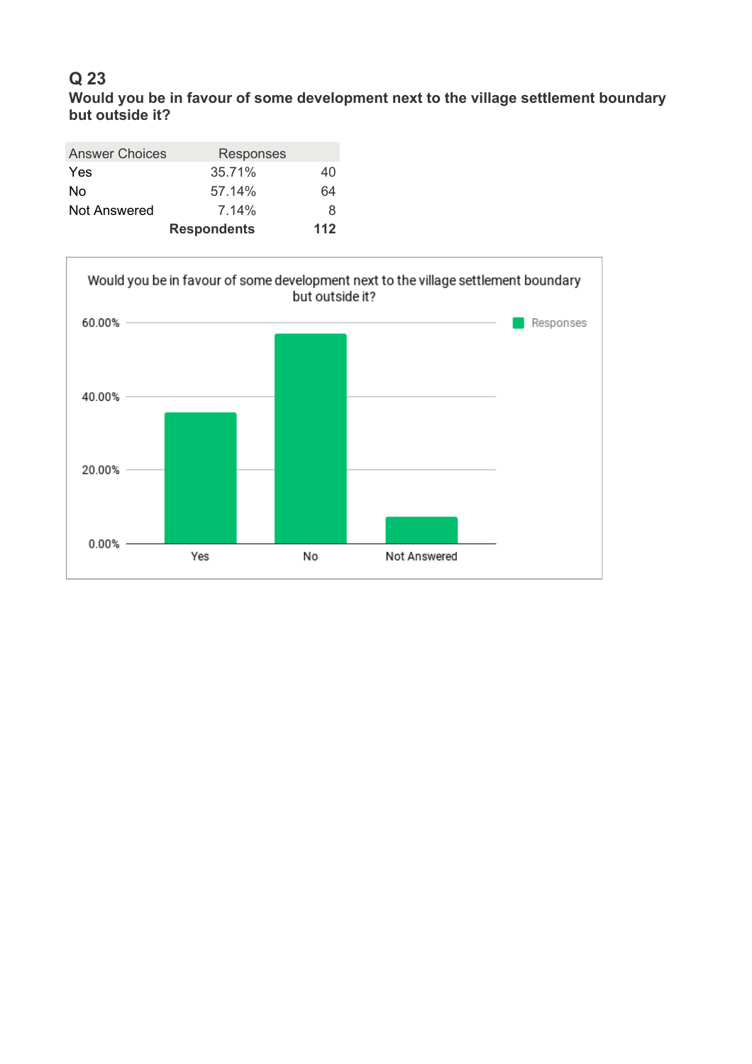# **Q 23 Would you be in favour of some development next to the village settlement boundary but outside it?**

| <b>Answer Choices</b> | Responses          |     |
|-----------------------|--------------------|-----|
| <b>Yes</b>            | 35.71%             | 40  |
| No                    | 57.14%             | 64  |
| Not Answered          | 7.14%              | 8   |
|                       | <b>Respondents</b> | 112 |

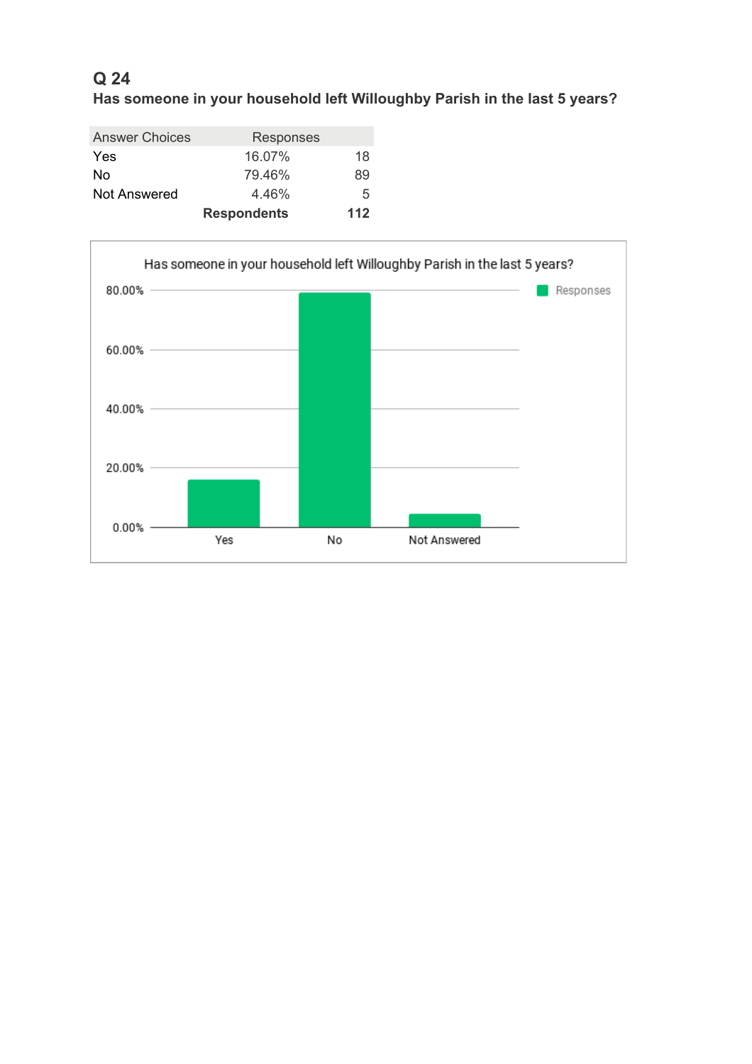# **Q 24 Has someone in your household left Willoughby Parish in the last 5 years?**

|                       | <b>Respondents</b> | 112 |
|-----------------------|--------------------|-----|
| Not Answered          | 4.46%              | 5   |
| No                    | 79.46%             | 89  |
| Yes                   | 16.07%             | 18  |
| <b>Answer Choices</b> | <b>Responses</b>   |     |

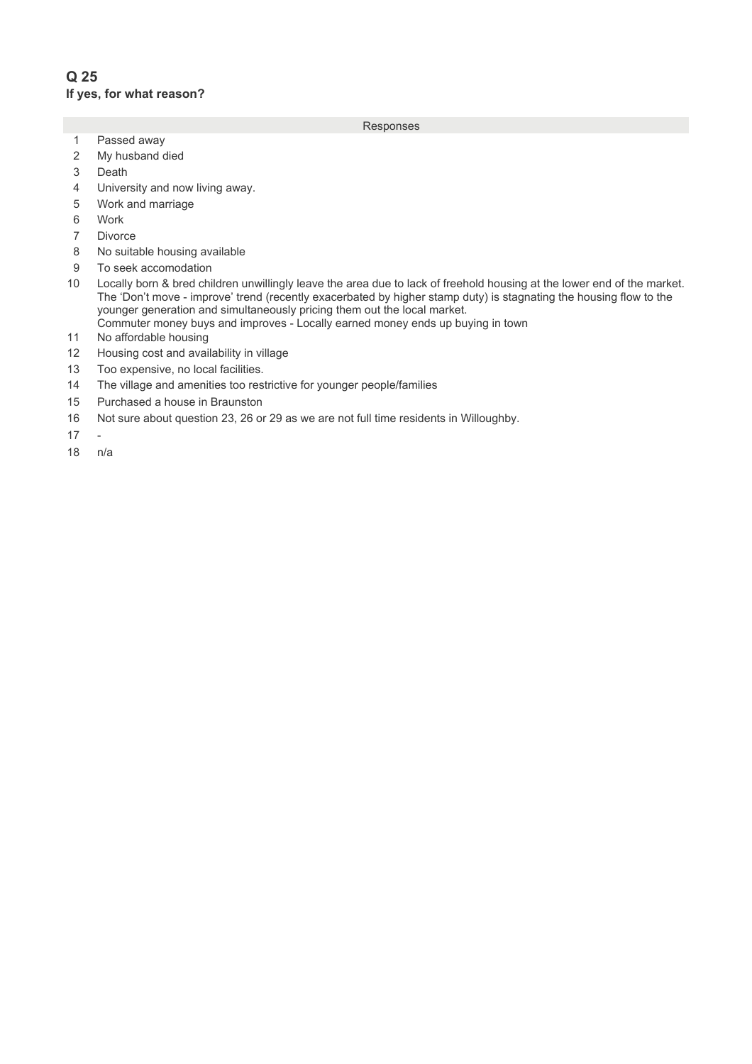## **Q 25 If yes, for what reason?**

- 1 Passed away
- 2 My husband died
- 3 Death
- 4 University and now living away.
- 5 Work and marriage
- 6 Work
- 7 Divorce
- 8 No suitable housing available
- 9 To seek accomodation
- 10 Locally born & bred children unwillingly leave the area due to lack of freehold housing at the lower end of the market. The 'Don't move - improve' trend (recently exacerbated by higher stamp duty) is stagnating the housing flow to the younger generation and simultaneously pricing them out the local market. Commuter money buys and improves - Locally earned money ends up buying in town
- 11 No affordable housing
- 12 Housing cost and availability in village
- 13 Too expensive, no local facilities.
- 14 The village and amenities too restrictive for younger people/families
- 15 Purchased a house in Braunston
- 16 Not sure about question 23, 26 or 29 as we are not full time residents in Willoughby.
- $17 -$
- $18$   $n/a$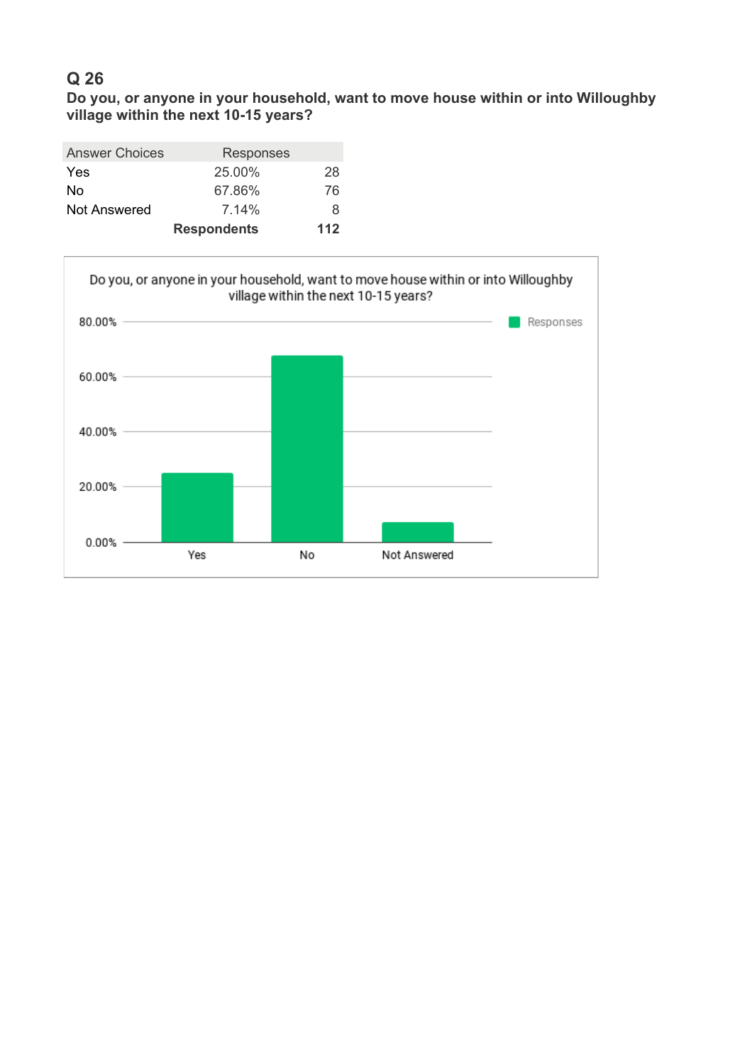**Do you, or anyone in your household, want to move house within or into Willoughby village within the next 10-15 years?**

| <b>Answer Choices</b> | Responses          |     |
|-----------------------|--------------------|-----|
| <b>Yes</b>            | 25.00%             | 28  |
| No                    | 67.86%             | 76  |
| Not Answered          | $7.14\%$           | 8   |
|                       | <b>Respondents</b> | 112 |

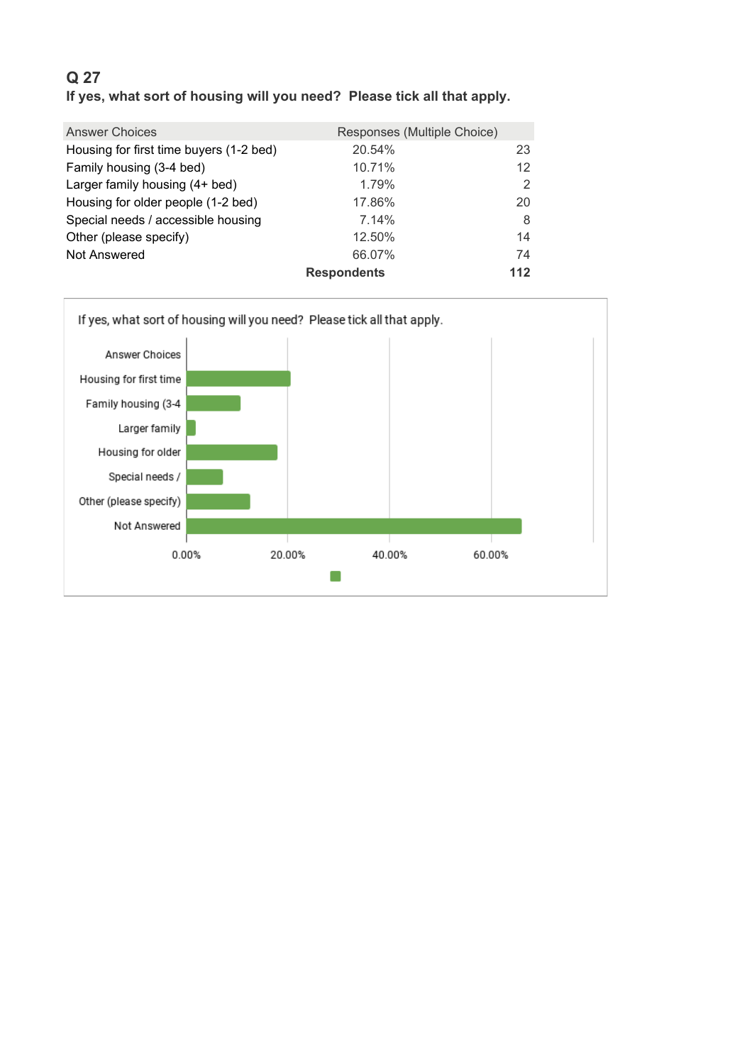# **Q 27 If yes, what sort of housing will you need? Please tick all that apply.**

| <b>Answer Choices</b>                   | Responses (Multiple Choice) |               |
|-----------------------------------------|-----------------------------|---------------|
| Housing for first time buyers (1-2 bed) | 20.54%                      | 23            |
| Family housing (3-4 bed)                | 10.71%                      | 12            |
| Larger family housing (4+ bed)          | 1.79%                       | $\mathcal{P}$ |
| Housing for older people (1-2 bed)      | 17.86%                      | 20            |
| Special needs / accessible housing      | 7.14%                       | 8             |
| Other (please specify)                  | 12.50%                      | 14            |
| Not Answered                            | 66.07%                      | 74            |
|                                         | <b>Respondents</b>          | 112           |

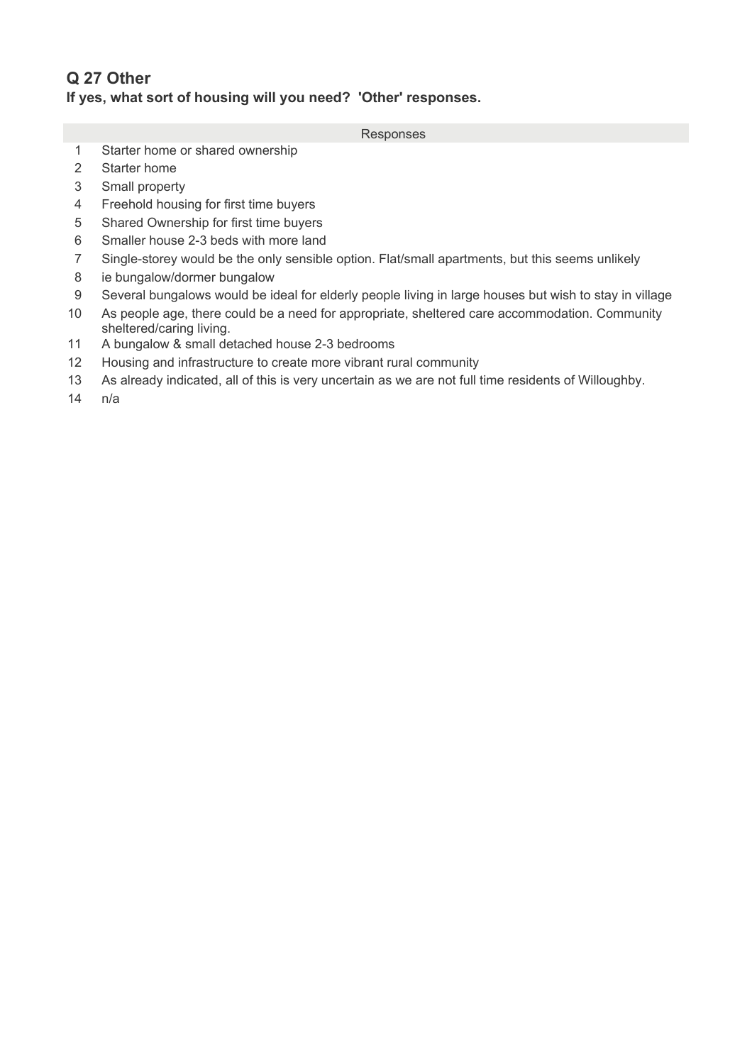# **Q 27 Other If yes, what sort of housing will you need? 'Other' responses.**

- Responses
- 1 Starter home or shared ownership
- 2 Starter home
- 3 Small property
- 4 Freehold housing for first time buyers
- 5 Shared Ownership for first time buyers
- 6 Smaller house 2-3 beds with more land
- 7 Single-storey would be the only sensible option. Flat/small apartments, but this seems unlikely
- 8 ie bungalow/dormer bungalow
- 9 Several bungalows would be ideal for elderly people living in large houses but wish to stay in village
- 10 As people age, there could be a need for appropriate, sheltered care accommodation. Community sheltered/caring living.
- 11 A bungalow & small detached house 2-3 bedrooms
- 12 Housing and infrastructure to create more vibrant rural community
- 13 As already indicated, all of this is very uncertain as we are not full time residents of Willoughby.
- $14$   $n/a$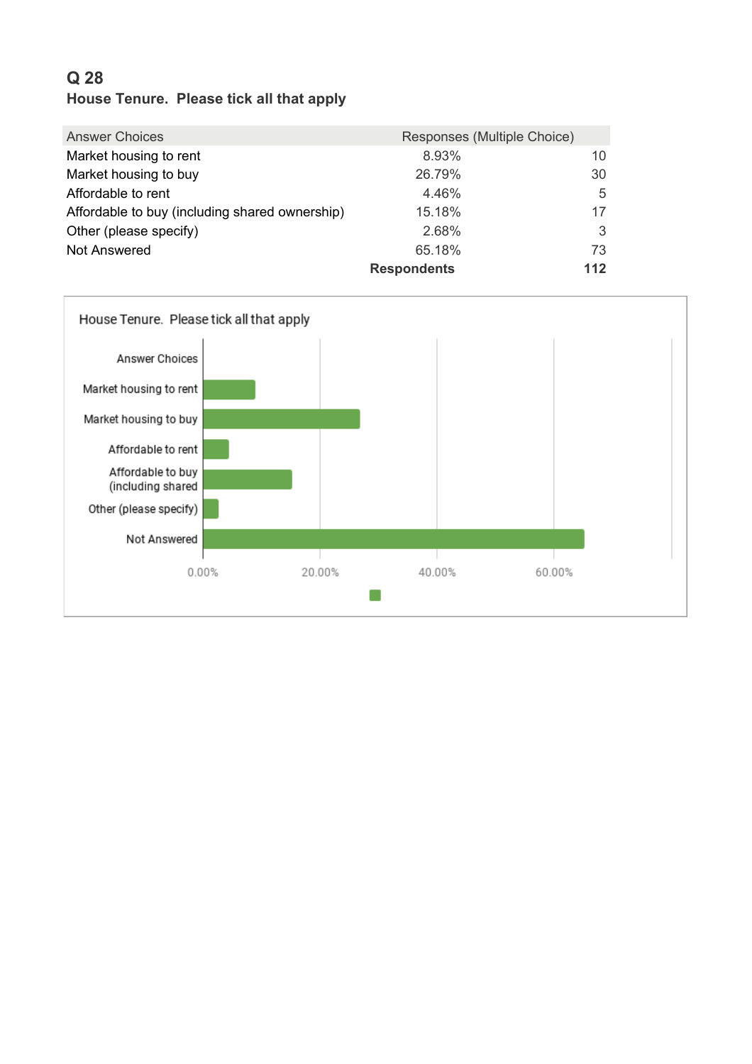# **Q 28 House Tenure. Please tick all that apply**

| <b>Answer Choices</b>                          | Responses (Multiple Choice) |     |
|------------------------------------------------|-----------------------------|-----|
| Market housing to rent                         | 8.93%                       | 10  |
| Market housing to buy                          | 26.79%                      | 30  |
| Affordable to rent                             | 4.46%                       | 5   |
| Affordable to buy (including shared ownership) | 15.18%                      | 17  |
| Other (please specify)                         | 2.68%                       | 3   |
| <b>Not Answered</b>                            | 65.18%                      | 73  |
|                                                | <b>Respondents</b>          | 112 |

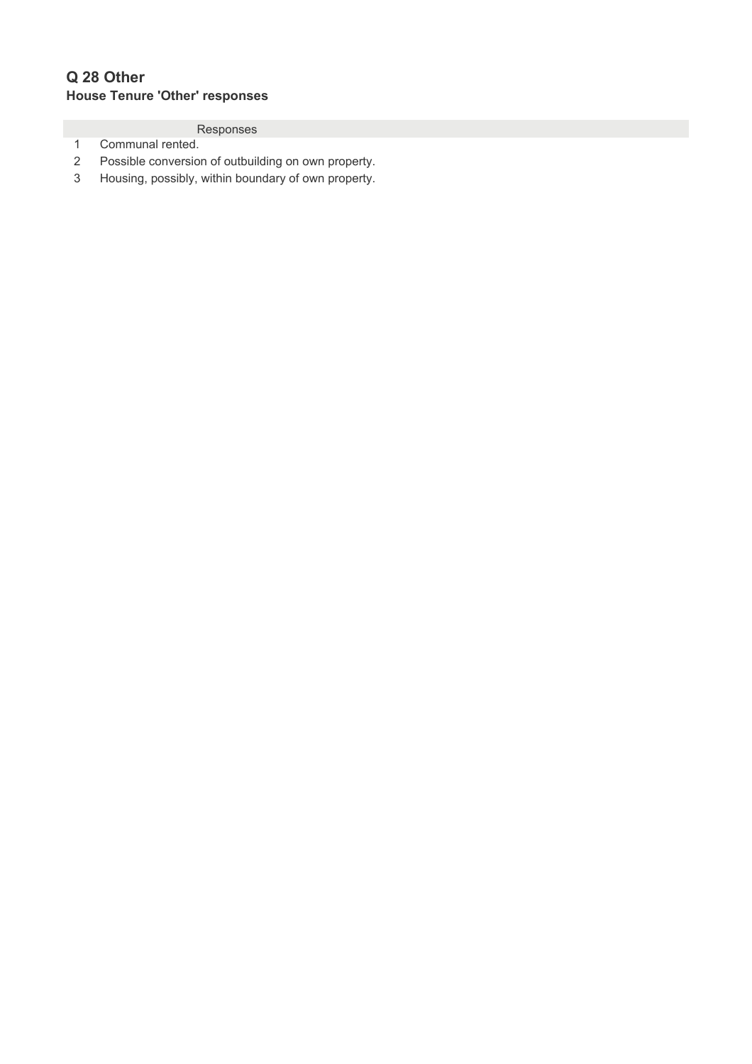# **Q 28 Other House Tenure 'Other' responses**

- 1 Communal rented.
- 2 Possible conversion of outbuilding on own property.
- 3 Housing, possibly, within boundary of own property.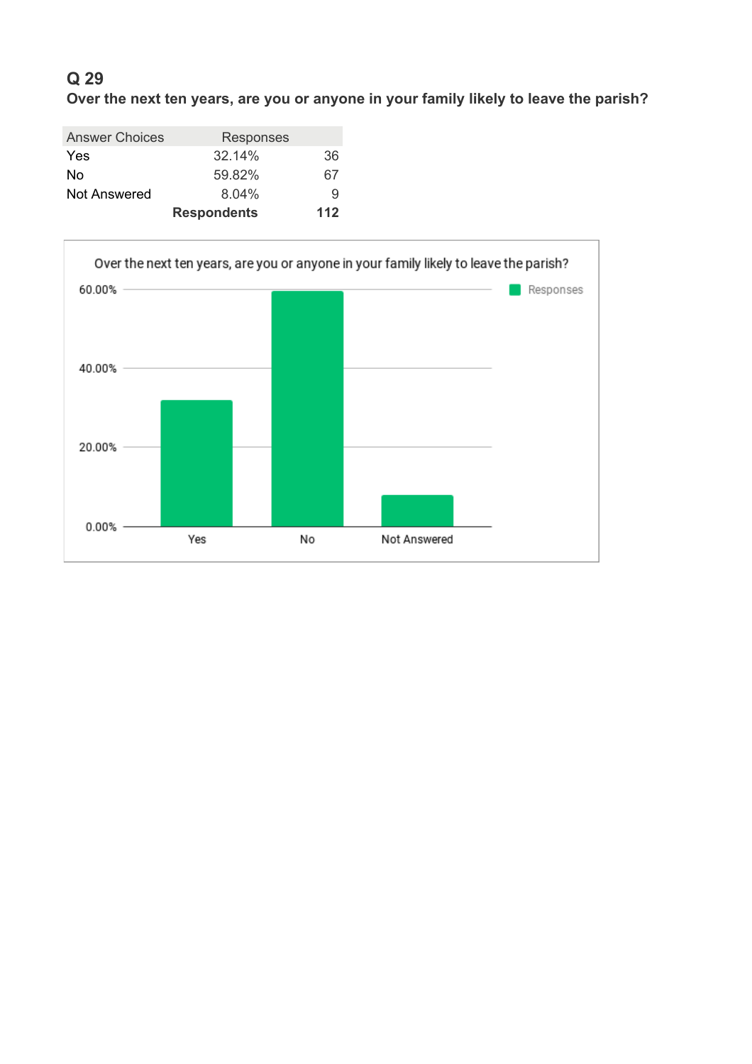**Over the next ten years, are you or anyone in your family likely to leave the parish?**

| <b>Answer Choices</b> | Responses          |     |
|-----------------------|--------------------|-----|
| <b>Yes</b>            | $32.14\%$          | 36  |
| No                    | 59.82%             | 67  |
| <b>Not Answered</b>   | $8.04\%$           | 9   |
|                       | <b>Respondents</b> | 112 |

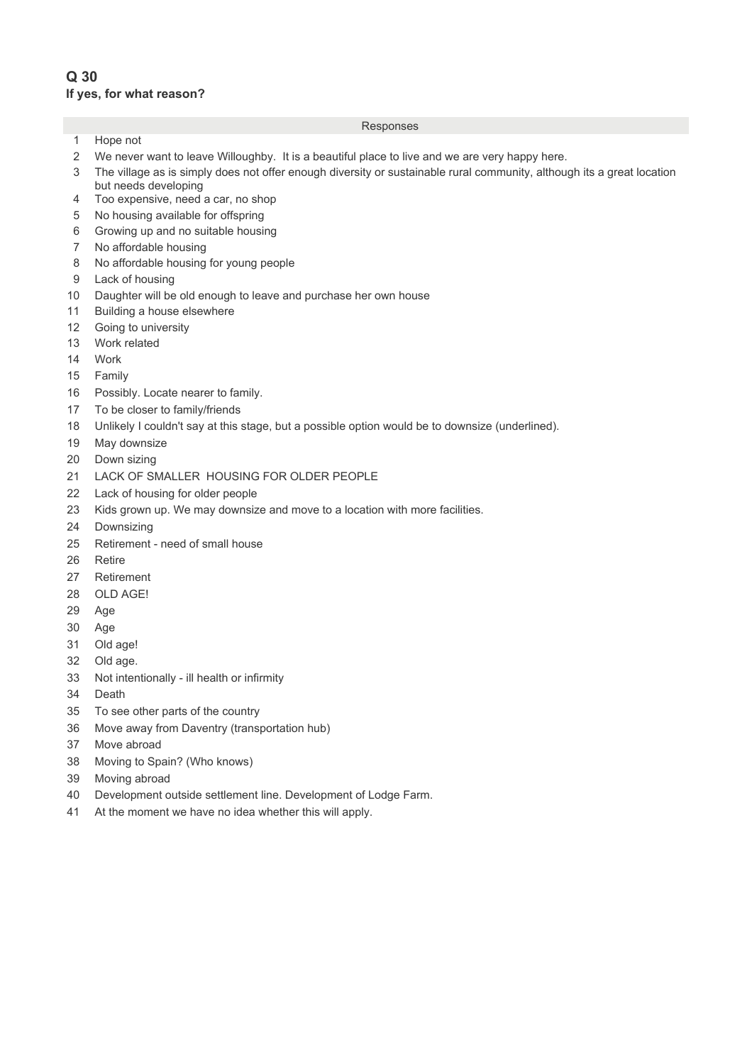## **Q 30 If yes, for what reason?**

### 1 Hope not

- 2 We never want to leave Willoughby. It is a beautiful place to live and we are very happy here.
- 3 13The village as is simply does not offer enough diversity or sustainable rural community, although its a great location but needs developing
- 4 Too expensive, need a car, no shop
- 5 No housing available for offspring
- 6 Growing up and no suitable housing
- 7 No affordable housing
- 8 No affordable housing for young people
- 9 Lack of housing
- 10 Daughter will be old enough to leave and purchase her own house
- 11 Building a house elsewhere
- 12 Going to university
- 13 Work related
- 14 Work
- 15 Family
- 16 Possibly. Locate nearer to family.
- 17 To be closer to family/friends
- 18 Unlikely I couldn't say at this stage, but a possible option would be to downsize (underlined).
- 19 May downsize
- 20 Down sizing
- 21 LACK OF SMALLER HOUSING FOR OLDER PEOPLE
- 22 Lack of housing for older people
- 23 Kids grown up. We may downsize and move to a location with more facilities.
- 24 Downsizing
- 25 Retirement need of small house
- 26 Retire
- 27 Retirement
- 28 OLD AGE!
- 29 Age
- 30 Age
- 31 Old age!
- 32 Old age.
- 33 Not intentionally ill health or infirmity
- 34 Death
- 35 To see other parts of the country
- 36 Move away from Daventry (transportation hub)
- 37 Move abroad
- 38 Moving to Spain? (Who knows)
- 39 Moving abroad
- 40 Development outside settlement line. Development of Lodge Farm.
- 41 At the moment we have no idea whether this will apply.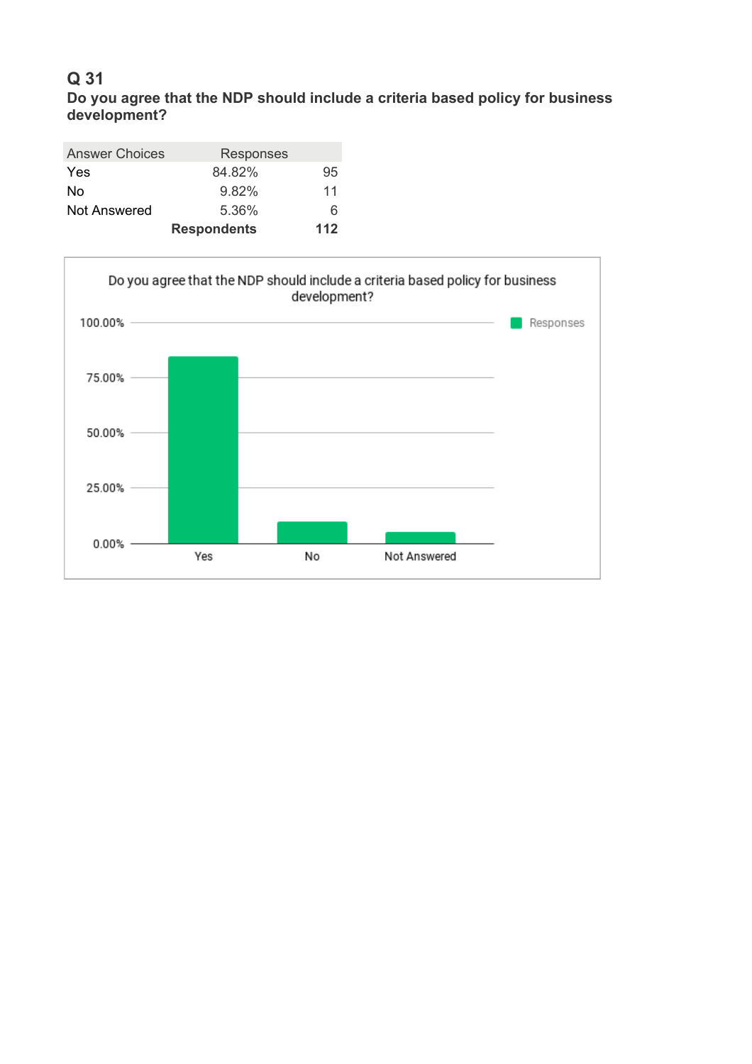# **Q 31 Do you agree that the NDP should include a criteria based policy for business development?**

| <b>Answer Choices</b> | Responses          |     |
|-----------------------|--------------------|-----|
| <b>Yes</b>            | 84.82%             | 95  |
| No                    | 9.82%              | 11  |
| Not Answered          | 5.36%              | 6   |
|                       | <b>Respondents</b> | 112 |

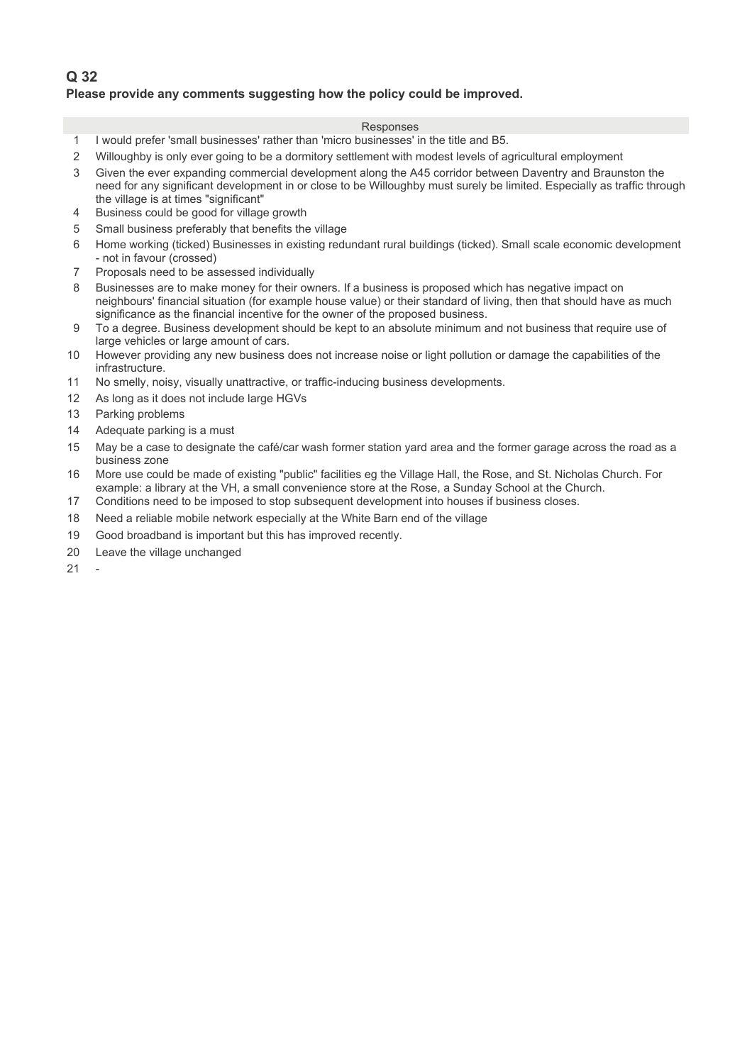## **Q 32 Please provide any comments suggesting how the policy could be improved.**

- 1 3 I would prefer 'small businesses' rather than 'micro businesses' in the title and B5.
- 2 Willoughby is only ever going to be a dormitory settlement with modest levels of agricultural employment
- 3 5 Given the ever expanding commercial development along the A45 corridor between Daventry and Braunston the need for any significant development in or close to be Willoughby must surely be limited. Especially as traffic through the village is at times "significant"
- 4 Business could be good for village growth
- 5 Small business preferably that benefits the village
- 6 Home working (ticked) Businesses in existing redundant rural buildings (ticked). Small scale economic development - not in favour (crossed)
- 7 Proposals need to be assessed individually
- 8 Businesses are to make money for their owners. If a business is proposed which has negative impact on neighbours' financial situation (for example house value) or their standard of living, then that should have as much significance as the financial incentive for the owner of the proposed business.
- 9 12To a degree. Business development should be kept to an absolute minimum and not business that require use of large vehicles or large amount of cars.
- 10 However providing any new business does not increase noise or light pollution or damage the capabilities of the infrastructure.
- 11 No smelly, noisy, visually unattractive, or traffic-inducing business developments.
- 12 As long as it does not include large HGVs
- 13 Parking problems
- 14 Adequate parking is a must
- 15 May be a case to designate the café/car wash former station vard area and the former garage across the road as a business zone
- 16 More use could be made of existing "public" facilities eg the Village Hall, the Rose, and St. Nicholas Church. For example: a library at the VH, a small convenience store at the Rose, a Sunday School at the Church.
- 17 Conditions need to be imposed to stop subsequent development into houses if business closes.
- 18 Need a reliable mobile network especially at the White Barn end of the village
- 19 Good broadband is important but this has improved recently.
- 20 Leave the village unchanged
- 21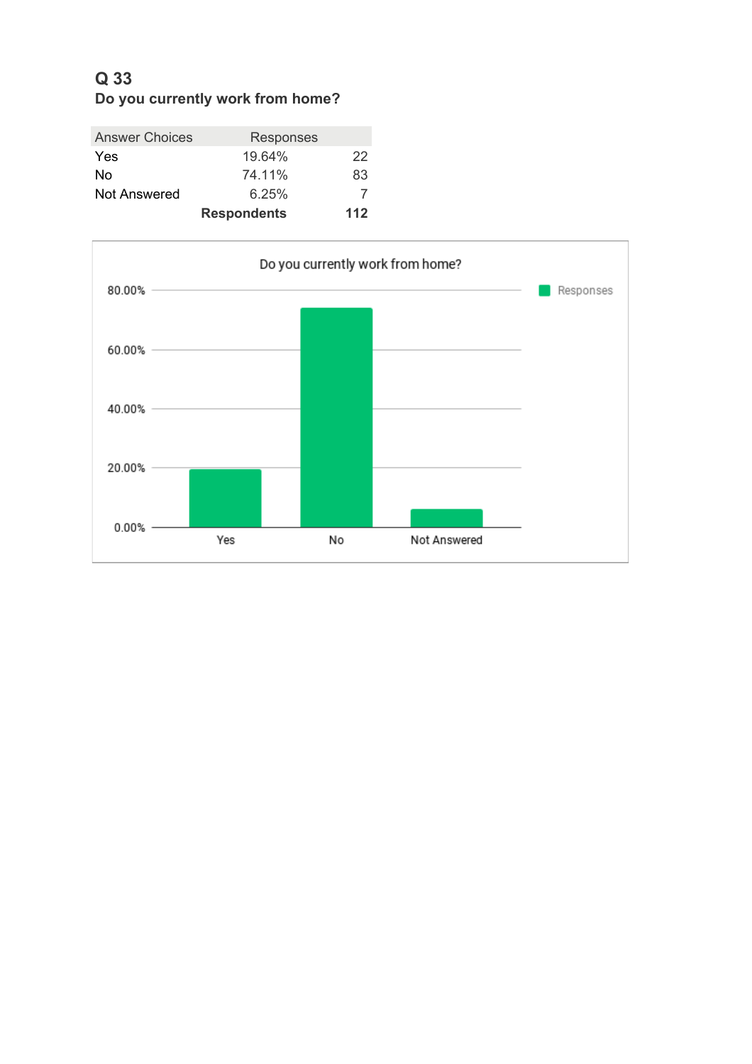# **Q 33 Do you currently work from home?**

| <b>Answer Choices</b> | <b>Responses</b>   |     |
|-----------------------|--------------------|-----|
| Yes                   | 19.64%             | 22  |
| No                    | 74.11%             | 83  |
| Not Answered          | 6.25%              |     |
|                       | <b>Respondents</b> | 112 |

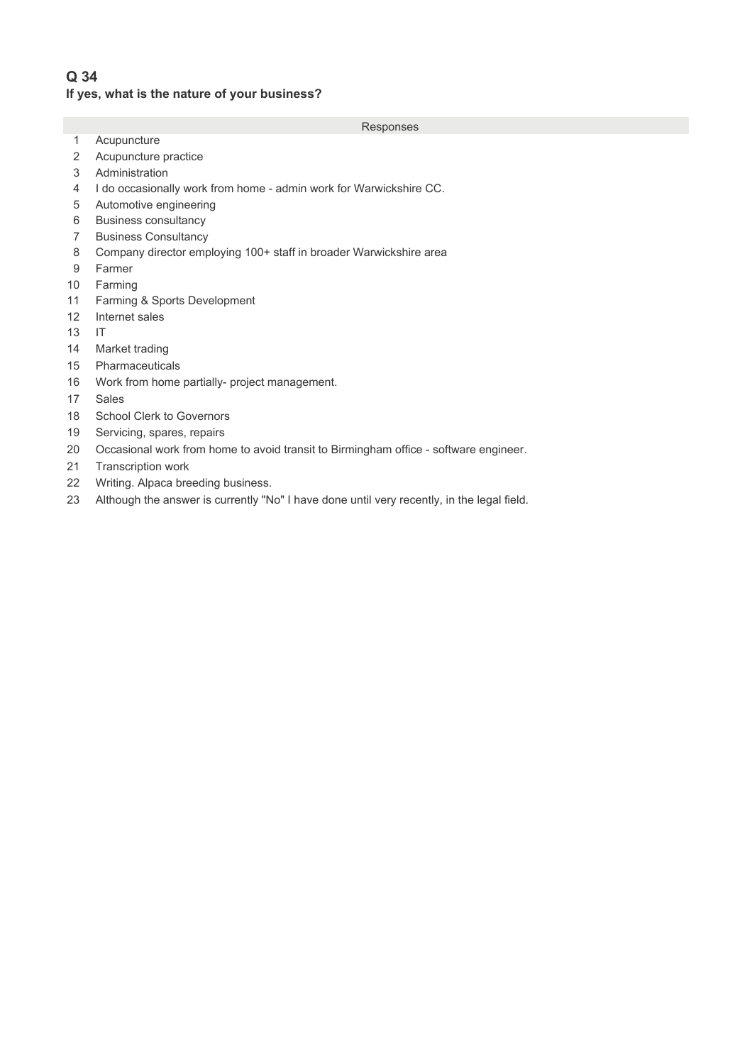# **Q 34 If yes, what is the nature of your business?**

- 1 Acupuncture
- 2 Acupuncture practice
- 3 Administration
- 4 2 I do occasionally work from home admin work for Warwickshire CC.
- 5 Automotive engineering
- 6 Business consultancy
- 7 Business Consultancy
- 8 Company director employing 100+ staff in broader Warwickshire area
- 9 Farmer
- 10 Farming
- 11 Farming & Sports Development
- 12 Internet sales
- $13$  IT
- 14 Market trading
- 15 Pharmaceuticals
- 16 Work from home partially- project management.
- 17 Sales
- 18 School Clerk to Governors
- 19 Servicing, spares, repairs
- 20 Occasional work from home to avoid transit to Birmingham office software engineer.
- 21 Transcription work
- 22 Writing. Alpaca breeding business.
- 23 Although the answer is currently "No" I have done until very recently, in the legal field.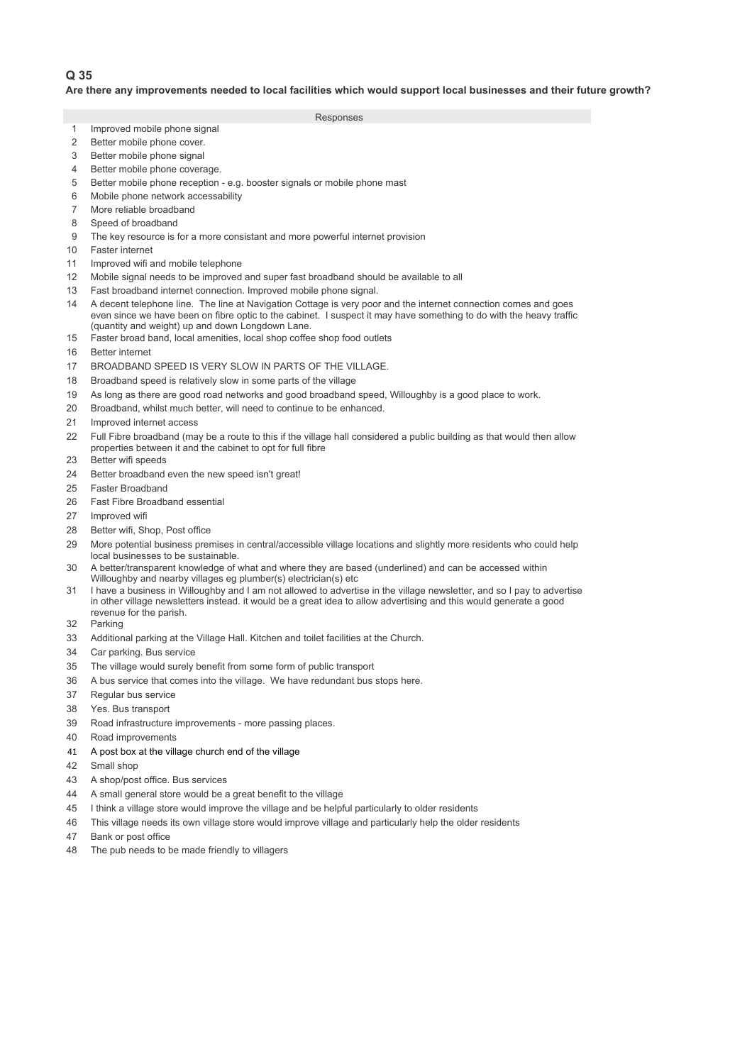#### **Are there any improvements needed to local facilities which would support local businesses and their future growth?**

- 1 Improved mobile phone signal
- 2 Better mobile phone cover.
- 3 Better mobile phone signal
- 4 Better mobile phone coverage.
- 5 5 Better mobile phone reception e.g. booster signals or mobile phone mast
- 6 Mobile phone network accessability
- 7 More reliable broadband
- 8 Speed of broadband
- 9 The key resource is for a more consistant and more powerful internet provision
- 10 Faster internet
- 11 Improved wifi and mobile telephone
- 12 6 Mobile signal needs to be improved and super fast broadband should be available to all
- 13 Fast broadband internet connection. Improved mobile phone signal.
- 14 6 A decent telephone line. The line at Navigation Cottage is very poor and the internet connection comes and goes even since we have been on fibre optic to the cabinet. I suspect it may have something to do with the heavy traffic (quantity and weight) up and down Longdown Lane.
- 15 Faster broad band, local amenities, local shop coffee shop food outlets
- 16 Better internet
- 17 BROADBAND SPEED IS VERY SLOW IN PARTS OF THE VILLAGE.
- 18 Broadband speed is relatively slow in some parts of the village
- 19 6 As long as there are good road networks and good broadband speed, Willoughby is a good place to work.
- 20 Broadband, whilst much better, will need to continue to be enhanced.
- 21 Improved internet access
- 22 6 Full Fibre broadband (may be a route to this if the village hall considered a public building as that would then allow properties between it and the cabinet to opt for full fibre
- 23 Better wifi speeds
- 24 Better broadband even the new speed isn't great!
- 25 Faster Broadband
- 26 Fast Fibre Broadband essential
- 27 Improved wifi
- 28 Better wifi, Shop, Post office
- 29 More potential business premises in central/accessible village locations and slightly more residents who could help local businesses to be sustainable.
- 30 8 A better/transparent knowledge of what and where they are based (underlined) and can be accessed within Willoughby and nearby villages eg plumber(s) electrician(s) etc
- 31 I have a business in Willoughby and I am not allowed to advertise in the village newsletter, and so I pay to advertise in other village newsletters instead. it would be a great idea to allow advertising and this would generate a good revenue for the parish.
- 32 Parking
- 33 Additional parking at the Village Hall. Kitchen and toilet facilities at the Church.
- 34 Car parking. Bus service
- 35 The village would surely benefit from some form of public transport
- 36 A bus service that comes into the village. We have redundant bus stops here.
- 37 Regular bus service
- 38 Yes. Bus transport
- 39 Road infrastructure improvements more passing places.
- 40 Road improvements
- 41 A post box at the village church end of the village
- 42 Small shop
- 43 A shop/post office. Bus services
- 44 A small general store would be a great benefit to the village
- 45 I think a village store would improve the village and be helpful particularly to older residents
- 46 25This village needs its own village store would improve village and particularly help the older residents
- 47 Bank or post office
- 48 The pub needs to be made friendly to villagers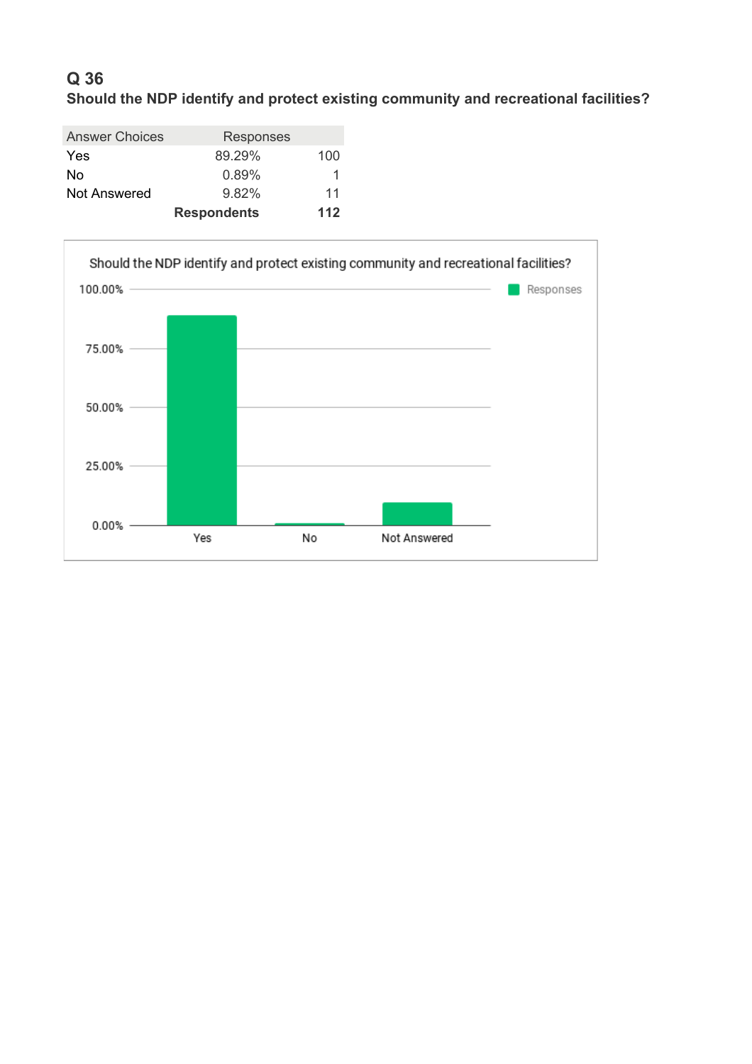# **Q 36 Should the NDP identify and protect existing community and recreational facilities?**

| <b>Answer Choices</b> | <b>Responses</b>   |     |
|-----------------------|--------------------|-----|
| Yes                   | 89.29%             | 100 |
| No                    | 0.89%              | 1   |
| <b>Not Answered</b>   | 9.82%              | 11  |
|                       | <b>Respondents</b> | 112 |

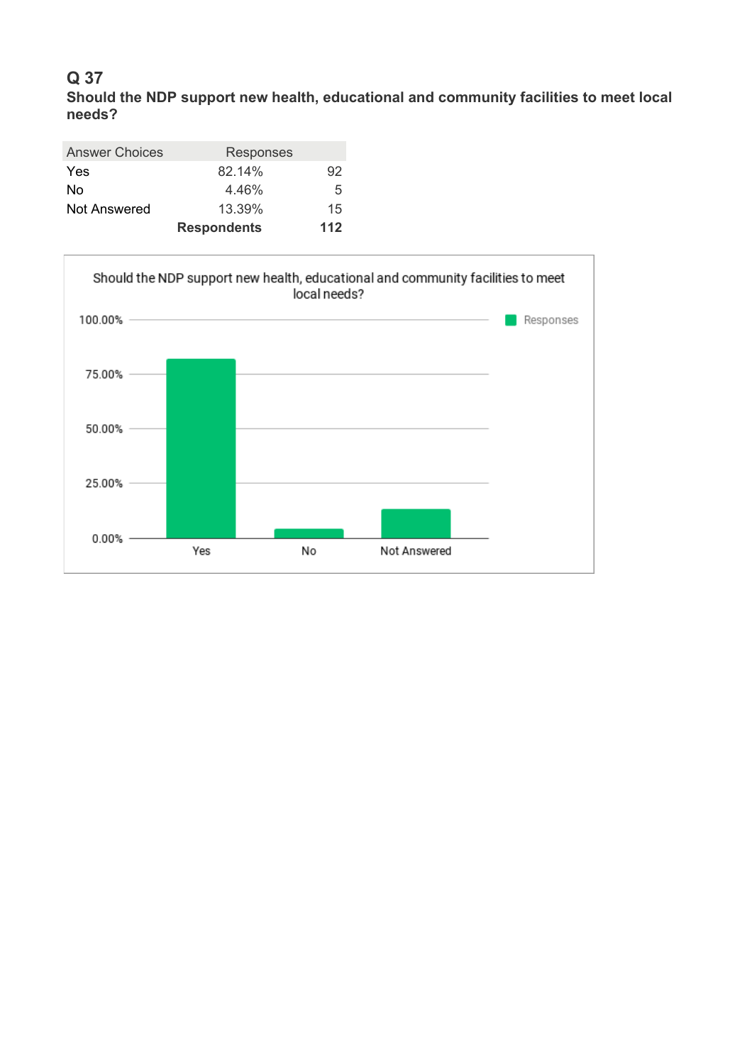**Should the NDP support new health, educational and community facilities to meet local needs?**

| Responses          |     |
|--------------------|-----|
| 82.14%             | 92  |
| 4.46%              | 5   |
| 13.39%             | 15  |
| <b>Respondents</b> | 112 |
|                    |     |

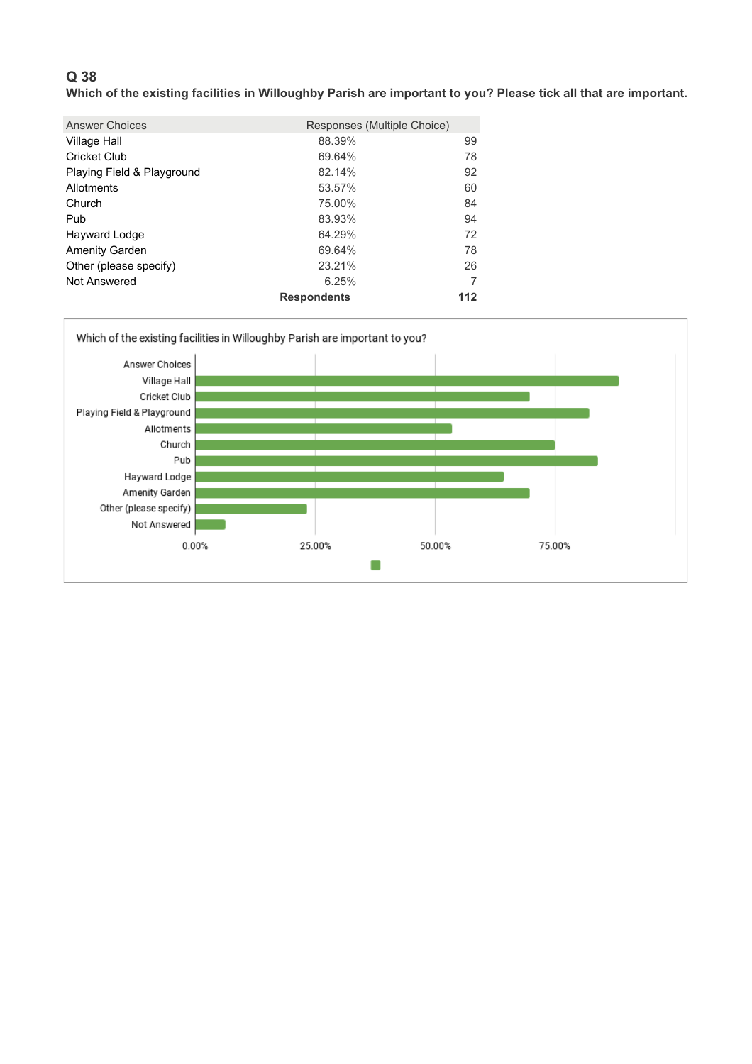**Which of the existing facilities in Willoughby Parish are important to you? Please tick all that are important.**

| <b>Answer Choices</b>      | Responses (Multiple Choice) |     |
|----------------------------|-----------------------------|-----|
| Village Hall               | 88.39%                      | 99  |
| Cricket Club               | 69.64%                      | 78  |
| Playing Field & Playground | 82.14%                      | 92  |
| Allotments                 | 53.57%                      | 60  |
| Church                     | 75.00%                      | 84  |
| Pub                        | 83.93%                      | 94  |
| Hayward Lodge              | 64.29%                      | 72  |
| <b>Amenity Garden</b>      | 69.64%                      | 78  |
| Other (please specify)     | 23.21%                      | 26  |
| Not Answered               | 6.25%                       | 7   |
|                            | <b>Respondents</b>          | 112 |

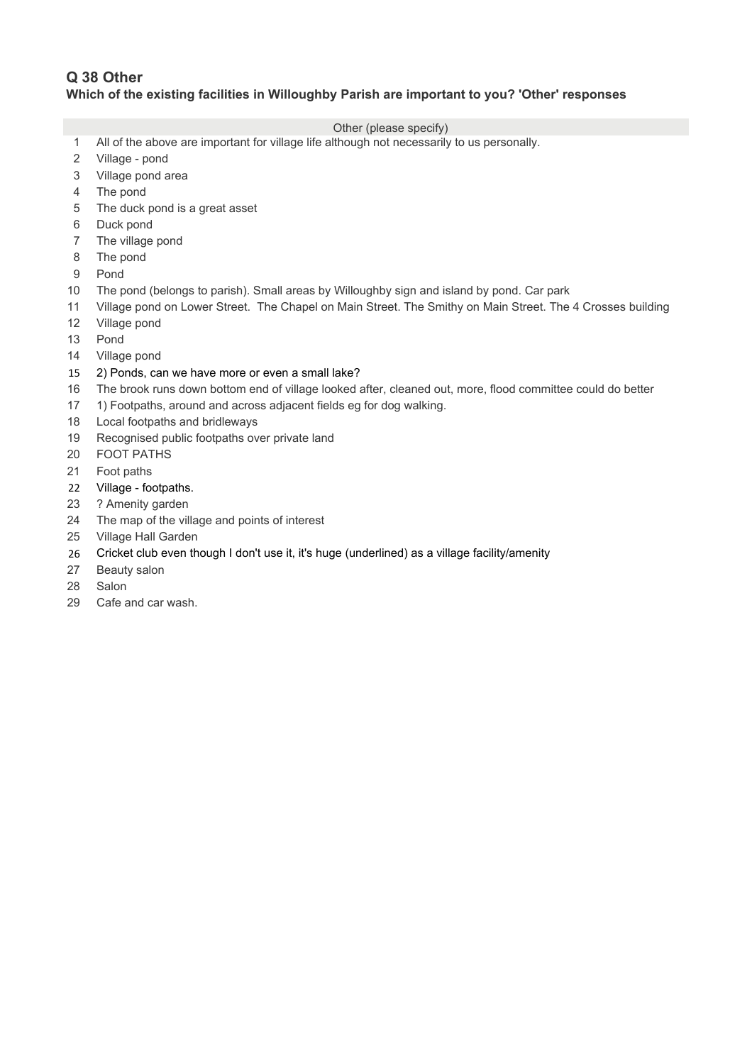## **Q 38 Other Which of the existing facilities in Willoughby Parish are important to you? 'Other' responses**

### Other (please specify)

- 1 All of the above are important for village life although not necessarily to us personally.
- 2 Village pond
- 3 Village pond area
- 4 The pond
- 5 5 The duck pond is a great asset
- 6 Duck pond
- 7 The village pond
- 8 The pond
- 9 Pond
- 10 The pond (belongs to parish). Small areas by Willoughby sign and island by pond. Car park
- 11 Village pond on Lower Street. The Chapel on Main Street. The Smithy on Main Street. The 4 Crosses building
- 12 Village pond
- 13 Pond
- 14 Village pond
- 15 2) Ponds, can we have more or even a small lake?
- 16 The brook runs down bottom end of village looked after, cleaned out, more, flood committee could do better
- 17 1) Footpaths, around and across adjacent fields eg for dog walking.
- 18 Local footpaths and bridleways
- 19 Recognised public footpaths over private land
- 20 FOOT PATHS
- 21 Foot paths
- 22 Village footpaths.
- 23 ? Amenity garden
- 24 The map of the village and points of interest
- 25 Village Hall Garden
- 26 Cricket club even though I don't use it, it's huge (underlined) as a village facility/amenity
- 27 Beauty salon
- 28 Salon
- 29 Cafe and car wash.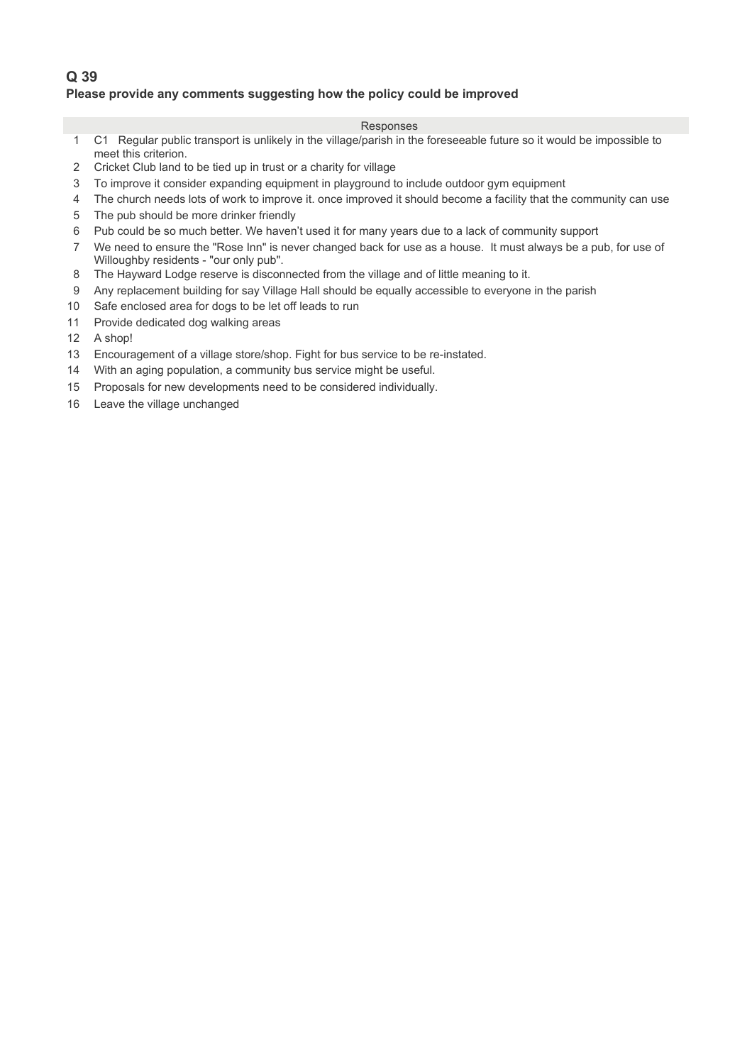## **Q 39 Please provide any comments suggesting how the policy could be improved**

- 1 1 C1 Regular public transport is unlikely in the village/parish in the foreseeable future so it would be impossible to meet this criterion.
- 2 Cricket Club land to be tied up in trust or a charity for village
- 3 To improve it consider expanding equipment in playground to include outdoor gym equipment
- 4 The church needs lots of work to improve it. once improved it should become a facility that the community can use
- 5 The pub should be more drinker friendly
- 6 Pub could be so much better. We haven't used it for many years due to a lack of community support
- 7 We need to ensure the "Rose Inn" is never changed back for use as a house. It must always be a pub, for use of Willoughby residents - "our only pub".
- 8 The Hayward Lodge reserve is disconnected from the village and of little meaning to it.
- 9 Any replacement building for say Village Hall should be equally accessible to everyone in the parish
- 10 Safe enclosed area for dogs to be let off leads to run
- 11 Provide dedicated dog walking areas
- 12 A shop!
- 13 Encouragement of a village store/shop. Fight for bus service to be re-instated.
- 14 With an aging population, a community bus service might be useful.
- 15 Proposals for new developments need to be considered individually.
- 16 Leave the village unchanged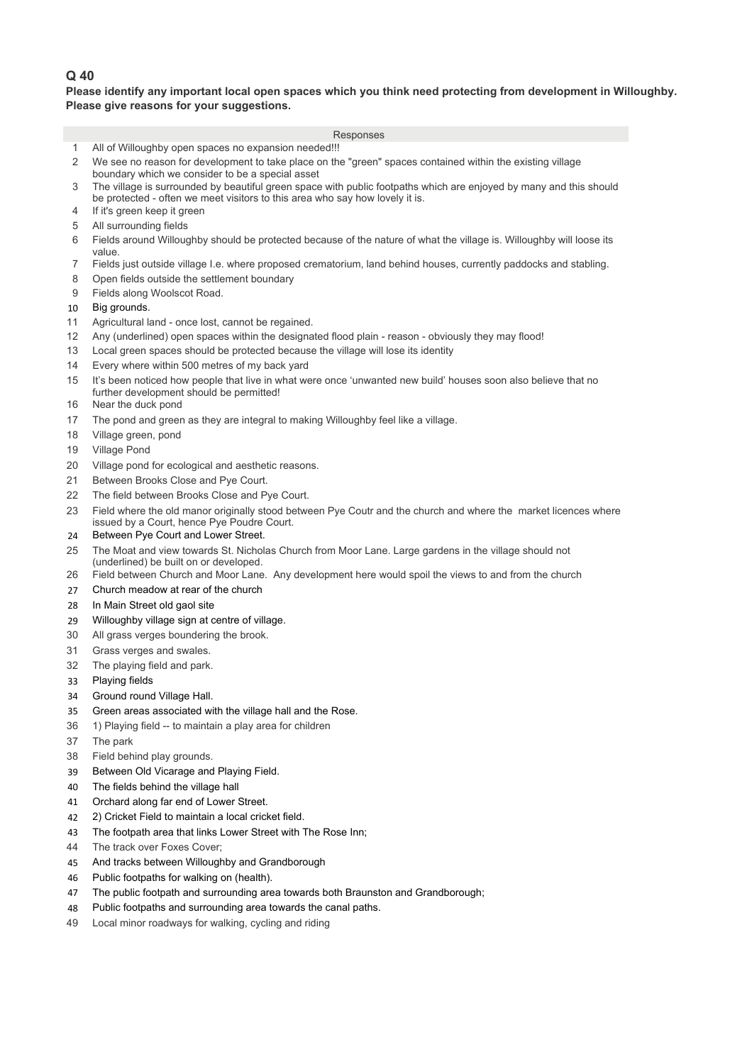### **Please identify any important local open spaces which you think need protecting from development in Willoughby. Please give reasons for your suggestions.**

|                       | Responses                                                                                                                                                                                          |
|-----------------------|----------------------------------------------------------------------------------------------------------------------------------------------------------------------------------------------------|
| 1                     | All of Willoughby open spaces no expansion needed!!!                                                                                                                                               |
| $\overline{2}$        | We see no reason for development to take place on the "green" spaces contained within the existing village<br>boundary which we consider to be a special asset                                     |
| 3                     | The village is surrounded by beautiful green space with public footpaths which are enjoyed by many and this should<br>be protected - often we meet visitors to this area who say how lovely it is. |
| 4                     | If it's green keep it green                                                                                                                                                                        |
| 5                     | All surrounding fields                                                                                                                                                                             |
| 6                     | Fields around Willoughby should be protected because of the nature of what the village is. Willoughby will loose its<br>value.                                                                     |
| 7                     | Fields just outside village I.e. where proposed crematorium, land behind houses, currently paddocks and stabling.                                                                                  |
| 8                     | Open fields outside the settlement boundary                                                                                                                                                        |
| 9                     | Fields along Woolscot Road.                                                                                                                                                                        |
| 10                    | Big grounds.                                                                                                                                                                                       |
| 11                    | Agricultural land - once lost, cannot be regained.                                                                                                                                                 |
| 12                    | Any (underlined) open spaces within the designated flood plain - reason - obviously they may flood!                                                                                                |
| 13                    | Local green spaces should be protected because the village will lose its identity                                                                                                                  |
| 14<br>15              | Every where within 500 metres of my back yard<br>It's been noticed how people that live in what were once 'unwanted new build' houses soon also believe that no                                    |
| 16                    | further development should be permitted!<br>Near the duck pond                                                                                                                                     |
| 17                    | The pond and green as they are integral to making Willoughby feel like a village.                                                                                                                  |
| 18                    | Village green, pond                                                                                                                                                                                |
| 19                    | Village Pond                                                                                                                                                                                       |
| 20                    | Village pond for ecological and aesthetic reasons.                                                                                                                                                 |
| 21                    | Between Brooks Close and Pye Court.                                                                                                                                                                |
| 22                    | The field between Brooks Close and Pye Court.                                                                                                                                                      |
| 23                    | Field where the old manor originally stood between Pye Coutr and the church and where the market licences where<br>issued by a Court, hence Pye Poudre Court.                                      |
| 24                    | Between Pye Court and Lower Street.                                                                                                                                                                |
| 25                    | The Moat and view towards St. Nicholas Church from Moor Lane. Large gardens in the village should not<br>(underlined) be built on or developed.                                                    |
| 26                    | Field between Church and Moor Lane. Any development here would spoil the views to and from the church                                                                                              |
| 27                    | Church meadow at rear of the church                                                                                                                                                                |
| 28                    | In Main Street old gaol site                                                                                                                                                                       |
| 29                    | Willoughby village sign at centre of village.                                                                                                                                                      |
| 30                    | All grass verges boundering the brook.                                                                                                                                                             |
| 31                    | Grass verges and swales.                                                                                                                                                                           |
| 32                    | The playing field and park.                                                                                                                                                                        |
| 33                    | Playing fields                                                                                                                                                                                     |
| 34                    | Ground round Village Hall.                                                                                                                                                                         |
| 35                    | Green areas associated with the village hall and the Rose.                                                                                                                                         |
| 36                    | 1) Playing field -- to maintain a play area for children                                                                                                                                           |
| 37                    | The park                                                                                                                                                                                           |
| 38                    | Field behind play grounds.                                                                                                                                                                         |
| 39                    | Between Old Vicarage and Playing Field.                                                                                                                                                            |
| 40                    | The fields behind the village hall                                                                                                                                                                 |
| 41                    | Orchard along far end of Lower Street.                                                                                                                                                             |
| 42                    | 2) Cricket Field to maintain a local cricket field.                                                                                                                                                |
| 43                    | The footpath area that links Lower Street with The Rose Inn;                                                                                                                                       |
| 44<br>$\overline{AB}$ | The track over Foxes Cover:<br>And tracks hetween Willoughby and Grandborough                                                                                                                      |
|                       |                                                                                                                                                                                                    |

- 45 And tracks between Willoughby and Grandborough
- 46 Public footpaths for walking on (health).
- 47 The public footpath and surrounding area towards both Braunston and Grandborough;
- 48 Public footpaths and surrounding area towards the canal paths.
- 49 Local minor roadways for walking, cycling and riding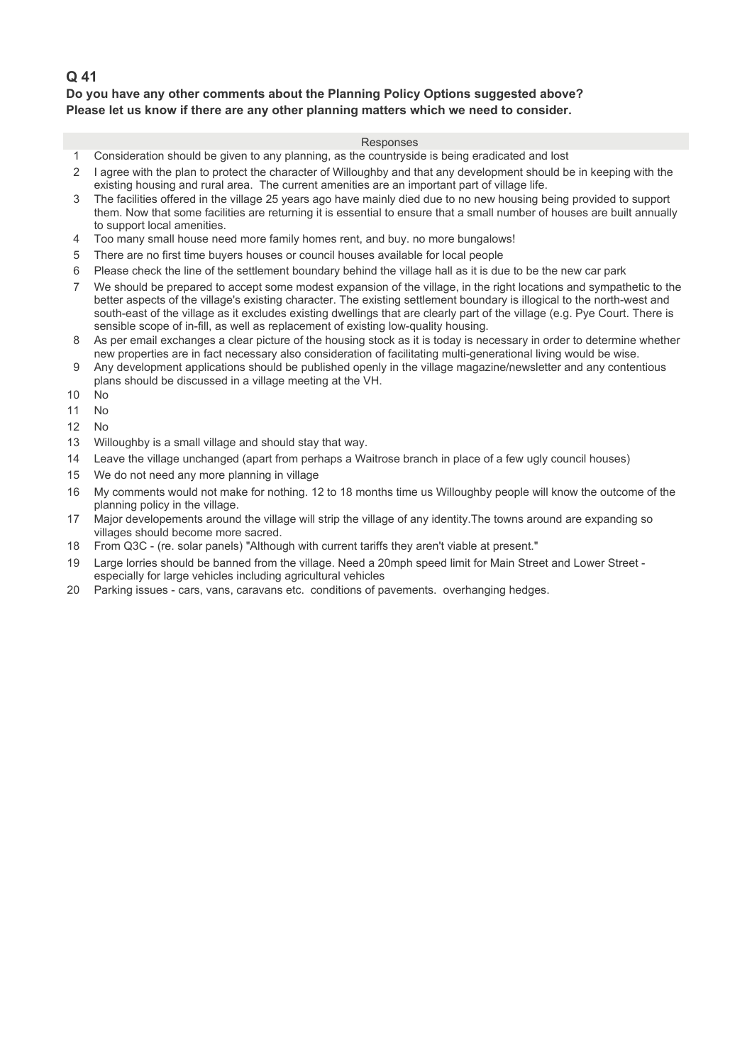## **Do you have any other comments about the Planning Policy Options suggested above? Please let us know if there are any other planning matters which we need to consider.**

- 1 Consideration should be given to any planning, as the countryside is being eradicated and lost
- 2 1 agree with the plan to protect the character of Willoughby and that any development should be in keeping with the existing housing and rural area. The current amenities are an important part of village life.
- 3 The facilities offered in the village 25 years ago have mainly died due to no new housing being provided to support them. Now that some facilities are returning it is essential to ensure that a small number of houses are built annually to support local amenities.
- 4 Too many small house need more family homes rent, and buy. no more bungalows!
- 5 There are no first time buyers houses or council houses available for local people
- 6 45Please check the line of the settlement boundary behind the village hall as it is due to be the new car park
- 7 45We should be prepared to accept some modest expansion of the village, in the right locations and sympathetic to the better aspects of the village's existing character. The existing settlement boundary is illogical to the north-west and south-east of the village as it excludes existing dwellings that are clearly part of the village (e.g. Pye Court. There is sensible scope of in-fill, as well as replacement of existing low-quality housing.
- 8 As per email exchanges a clear picture of the housing stock as it is today is necessary in order to determine whether new properties are in fact necessary also consideration of facilitating multi-generational living would be wise.
- 9 Any development applications should be published openly in the village magazine/newsletter and any contentious plans should be discussed in a village meeting at the VH.
- $10$  No
- 11 No
- $12 \quad N<sub>0</sub>$
- 13 Willoughby is a small village and should stay that way.
- 14 Leave the village unchanged (apart from perhaps a Waitrose branch in place of a few ugly council houses)
- 15 We do not need any more planning in village
- 16 My comments would not make for nothing. 12 to 18 months time us Willoughby people will know the outcome of the planning policy in the village.
- 17 Major developements around the village will strip the village of any identity. The towns around are expanding so villages should become more sacred.
- 18 From Q3C (re. solar panels) "Although with current tariffs they aren't viable at present."
- 19 Large lorries should be banned from the village. Need a 20mph speed limit for Main Street and Lower Street especially for large vehicles including agricultural vehicles
- 20 Parking issues cars, vans, caravans etc. conditions of pavements. overhanging hedges.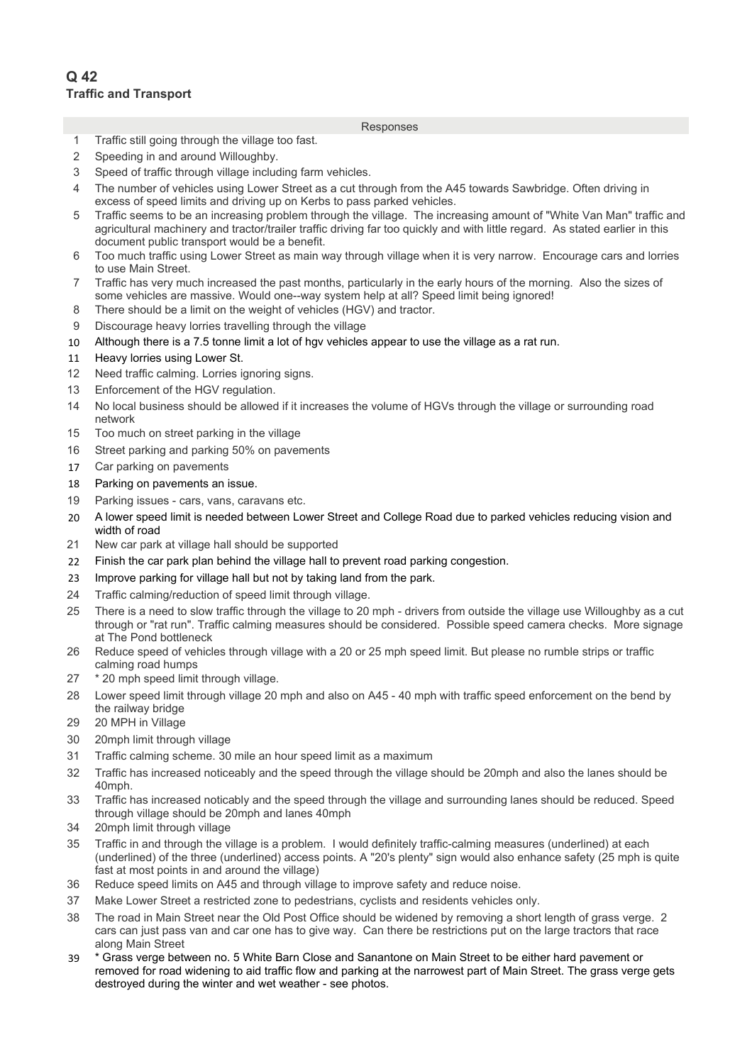- 1 Traffic still going through the village too fast.
- 2 Speeding in and around Willoughby.
- 3 5 Speed of traffic through village including farm vehicles.
- 4 The number of vehicles using Lower Street as a cut through from the A45 towards Sawbridge. Often driving in excess of speed limits and driving up on Kerbs to pass parked vehicles.
- 5 6 Traffic seems to be an increasing problem through the village. The increasing amount of "White Van Man" traffic and agricultural machinery and tractor/trailer traffic driving far too quickly and with little regard. As stated earlier in this document public transport would be a benefit.
- 6 11Too much traffic using Lower Street as main way through village when it is very narrow. Encourage cars and lorries to use Main Street.
- 7 11Traffic has very much increased the past months, particularly in the early hours of the morning. Also the sizes of some vehicles are massive. Would one--way system help at all? Speed limit being ignored!
- 8 There should be a limit on the weight of vehicles (HGV) and tractor.
- 9 Discourage heavy lorries travelling through the village
- 10 Although there is a 7.5 tonne limit a lot of hgy vehicles appear to use the village as a rat run.
- 11 Heavy lorries using Lower St.
- 12 Need traffic calming. Lorries ignoring signs.
- 13 Enforcement of the HGV regulation.
- 14 No local business should be allowed if it increases the volume of HGVs through the village or surrounding road network
- 15 Too much on street parking in the village
- 16 Street parking and parking 50% on pavements
- 17 Car parking on pavements
- 18 Parking on pavements an issue.
- 19 Parking issues cars, vans, caravans etc.
- 20 A lower speed limit is needed between Lower Street and College Road due to parked vehicles reducing vision and width of road
- 21 New car park at village hall should be supported
- 22 Finish the car park plan behind the village hall to prevent road parking congestion.
- 23 Improve parking for village hall but not by taking land from the park.
- 24 Traffic calming/reduction of speed limit through village.
- 25 There is a need to slow traffic through the village to 20 mph drivers from outside the village use Willoughby as a cut through or "rat run". Traffic calming measures should be considered. Possible speed camera checks. More signage at The Pond bottleneck
- 26 Reduce speed of vehicles through village with a 20 or 25 mph speed limit. But please no rumble strips or traffic calming road humps
- 27  $*$  20 mph speed limit through village.
- 28 Lower speed limit through village 20 mph and also on A45 40 mph with traffic speed enforcement on the bend by the railway bridge
- 29 20 MPH in Village
- 30 20mph limit through village
- 31 Traffic calming scheme. 30 mile an hour speed limit as a maximum
- 32 Traffic has increased noticeably and the speed through the village should be 20mph and also the lanes should be 40mph.
- 33 Traffic has increased noticably and the speed through the village and surrounding lanes should be reduced. Speed through village should be 20mph and lanes 40mph
- 34 20mph limit through village
- 35 Traffic in and through the village is a problem. I would definitely traffic-calming measures (underlined) at each (underlined) of the three (underlined) access points. A "20's plenty" sign would also enhance safety (25 mph is quite fast at most points in and around the village)
- 36 Reduce speed limits on A45 and through village to improve safety and reduce noise.
- 37 Make Lower Street a restricted zone to pedestrians, cyclists and residents vehicles only.
- 38 The road in Main Street near the Old Post Office should be widened by removing a short length of grass verge. 2 cars can just pass van and car one has to give way. Can there be restrictions put on the large tractors that race along Main Street
- 39 26\* Grass verge between no. 5 White Barn Close and Sanantone on Main Street to be either hard pavement or removed for road widening to aid traffic flow and parking at the narrowest part of Main Street. The grass verge gets destroyed during the winter and wet weather - see photos.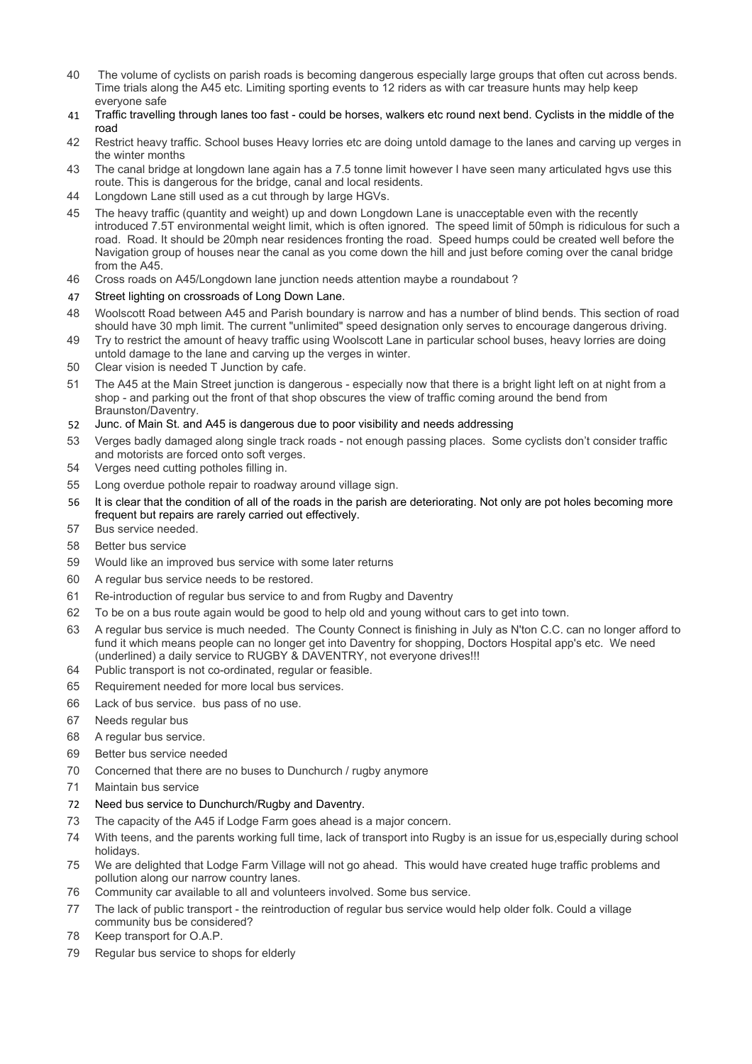- 40 40 The volume of cyclists on parish roads is becoming dangerous especially large groups that often cut across bends. Time trials along the A45 etc. Limiting sporting events to 12 riders as with car treasure hunts may help keep everyone safe
- 41 40Traffic travelling through lanes too fast could be horses, walkers etc round next bend. Cyclists in the middle of the road
- 42 Restrict heavy traffic. School buses Heavy lorries etc are doing untold damage to the lanes and carving up verges in the winter months
- 43 The canal bridge at longdown lane again has a 7.5 tonne limit however I have seen many articulated hgvs use this route. This is dangerous for the bridge, canal and local residents.
- 44 Longdown Lane still used as a cut through by large HGVs.
- 45 The heavy traffic (quantity and weight) up and down Longdown Lane is unacceptable even with the recently introduced 7.5T environmental weight limit, which is often ignored. The speed limit of 50mph is ridiculous for such a road. Road. It should be 20mph near residences fronting the road. Speed humps could be created well before the Navigation group of houses near the canal as you come down the hill and just before coming over the canal bridge from the A45.
- 46 Cross roads on A45/Longdown lane junction needs attention maybe a roundabout?
- 47 Street lighting on crossroads of Long Down Lane.
- 48 Woolscott Road between A45 and Parish boundary is narrow and has a number of blind bends. This section of road should have 30 mph limit. The current "unlimited" speed designation only serves to encourage dangerous driving.
- 49 55Try to restrict the amount of heavy traffic using Woolscott Lane in particular school buses, heavy lorries are doing untold damage to the lane and carving up the verges in winter.
- 50 Clear vision is needed T Junction by cafe.
- 51 The A45 at the Main Street junction is dangerous especially now that there is a bright light left on at night from a shop - and parking out the front of that shop obscures the view of traffic coming around the bend from Braunston/Daventry.
- 52 Junc. of Main St. and A45 is dangerous due to poor visibility and needs addressing
- 53 Verges badly damaged along single track roads not enough passing places. Some cyclists don't consider traffic and motorists are forced onto soft verges.
- 54 Verges need cutting potholes filling in.
- 55 Long overdue pothole repair to roadway around village sign.
- 56 It is clear that the condition of all of the roads in the parish are deteriorating. Not only are pot holes becoming more frequent but repairs are rarely carried out effectively.
- 57 Bus service needed.
- 58 Better bus service
- 59 Would like an improved bus service with some later returns
- 60 A regular bus service needs to be restored.
- 61 Re-introduction of regular bus service to and from Rugby and Daventry
- 62 To be on a bus route again would be good to help old and young without cars to get into town.
- 63 A regular bus service is much needed. The County Connect is finishing in July as N'ton C.C. can no longer afford to fund it which means people can no longer get into Daventry for shopping, Doctors Hospital app's etc. We need (underlined) a daily service to RUGBY & DAVENTRY, not everyone drives!!!
- 64 Public transport is not co-ordinated, regular or feasible.
- 65 Requirement needed for more local bus services.
- 66 Lack of bus service. bus pass of no use.
- 67 Needs regular bus
- 68 A regular bus service.
- 69 Better bus service needed
- 70 Concerned that there are no buses to Dunchurch / rugby anymore
- 71 Maintain bus service
- 72 Need bus service to Dunchurch/Rugby and Daventry.
- 73 The capacity of the A45 if Lodge Farm goes ahead is a major concern.
- 74 62With teens, and the parents working full time, lack of transport into Rugby is an issue for us,especially during school holidays.
- 75 We are delighted that Lodge Farm Village will not go ahead. This would have created huge traffic problems and pollution along our narrow country lanes.
- 76 Community car available to all and volunteers involved. Some bus service.
- 77 The lack of public transport the reintroduction of regular bus service would help older folk. Could a village community bus be considered?
- 78 Keep transport for O.A.P.
- 79 Regular bus service to shops for elderly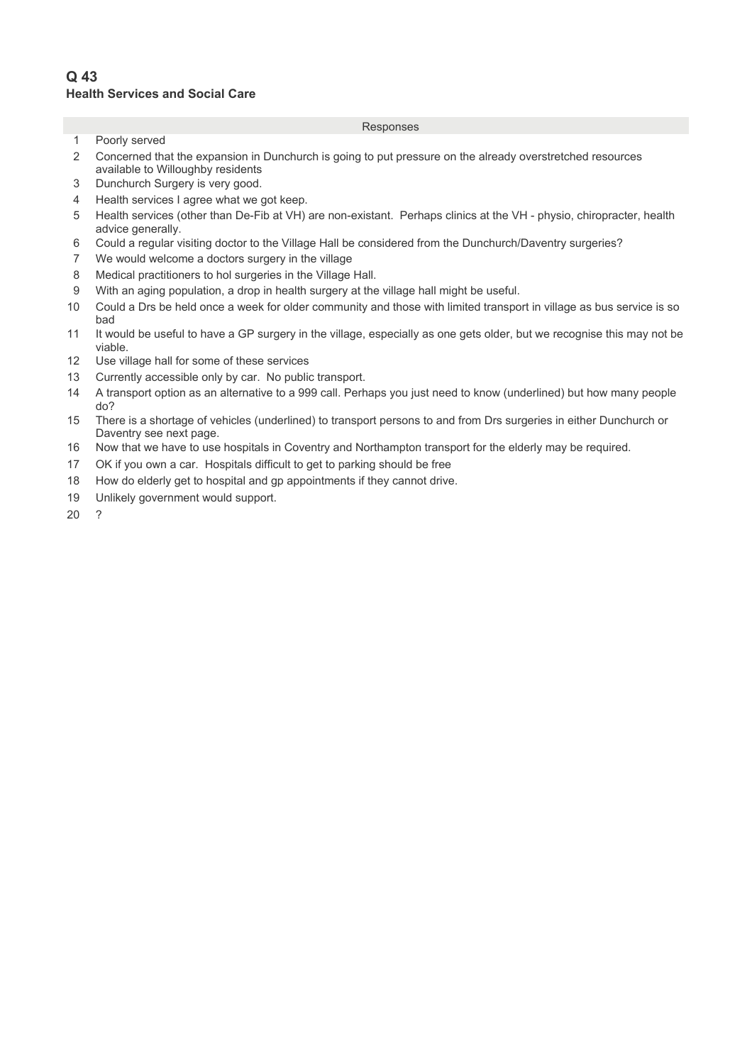## **Q 43 Health Services and Social Care**

#### Responses

- 1 Poorly served
- 2 Concerned that the expansion in Dunchurch is going to put pressure on the already overstretched resources available to Willoughby residents
- 3 Dunchurch Surgery is very good.
- 4 Health services I agree what we got keep.
- 5 Health services (other than De-Fib at VH) are non-existant. Perhaps clinics at the VH physio, chiropracter, health advice generally.
- 6 20Could a regular visiting doctor to the Village Hall be considered from the Dunchurch/Daventry surgeries?
- 7 We would welcome a doctors surgery in the village
- 8 Medical practitioners to hol surgeries in the Village Hall.
- 9 20With an aging population, a drop in health surgery at the village hall might be useful.
- 10 20Could a Drs be held once a week for older community and those with limited transport in village as bus service is so bad
- 11 It would be useful to have a GP surgery in the village, especially as one gets older, but we recognise this may not be viable.
- 12 Use village hall for some of these services
- 13 Currently accessible only by car. No public transport.
- 14 A transport option as an alternative to a 999 call. Perhaps you just need to know (underlined) but how many people do?
- 15 There is a shortage of vehicles (underlined) to transport persons to and from Drs surgeries in either Dunchurch or Daventry see next page.
- 16 Now that we have to use hospitals in Coventry and Northampton transport for the elderly may be required.
- 17 OK if you own a car. Hospitals difficult to get to parking should be free
- 18 How do elderly get to hospital and gp appointments if they cannot drive.
- 19 Unlikely government would support.

 $20$  ?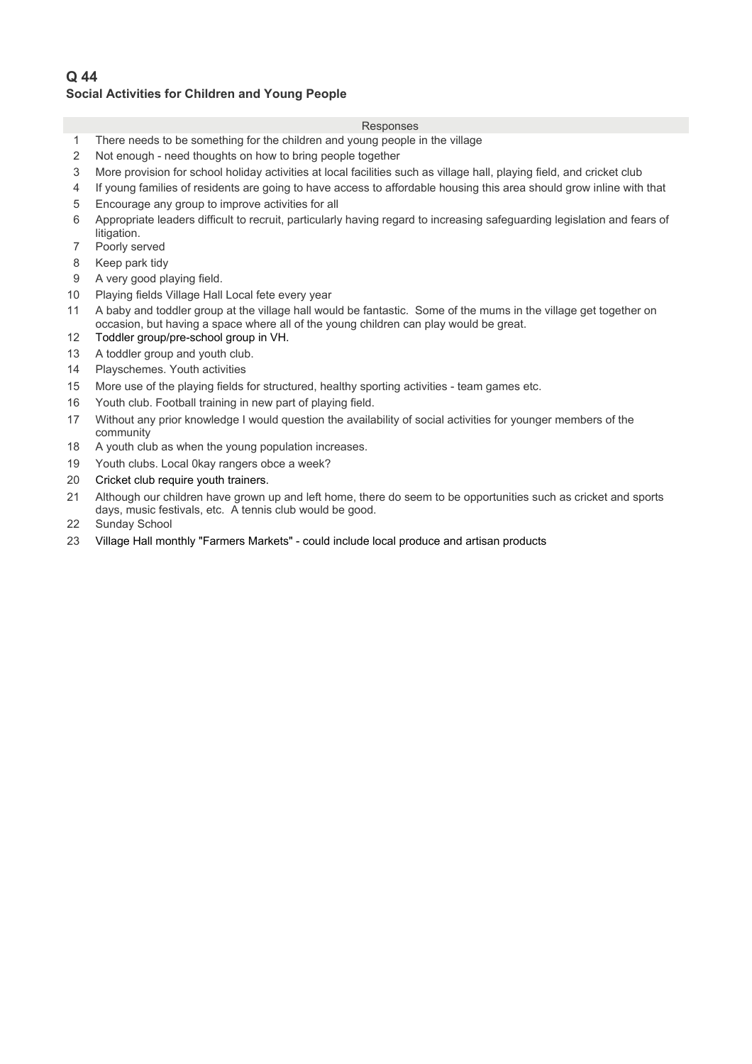# **Q 44 Social Activities for Children and Young People**

- 1 There needs to be something for the children and young people in the village
- 2 Not enough need thoughts on how to bring people together
- 3 More provision for school holiday activities at local facilities such as village hall, playing field, and cricket club
- 4 If young families of residents are going to have access to affordable housing this area should grow inline with that
- 5 Encourage any group to improve activities for all
- 6 11Appropriate leaders difficult to recruit, particularly having regard to increasing safeguarding legislation and fears of litigation.
- 7 Poorly served
- 8 Keep park tidy
- 9 A very good playing field.
- 10 Playing fields Village Hall Local fete every year
- 11 A baby and toddler group at the village hall would be fantastic. Some of the mums in the village get together on occasion, but having a space where all of the young children can play would be great.
- 12 Toddler group/pre-school group in VH.
- 13 A toddler group and youth club.
- 14 Playschemes. Youth activities
- 15 More use of the playing fields for structured, healthy sporting activities team games etc.
- 16 Youth club. Football training in new part of playing field.
- 17 Without any prior knowledge I would question the availability of social activities for younger members of the community
- 18 A youth club as when the young population increases.
- 19 Youth clubs. Local 0kay rangers obce a week?
- 20 Cricket club require youth trainers.
- 21 Although our children have grown up and left home, there do seem to be opportunities such as cricket and sports days, music festivals, etc. A tennis club would be good.
- 22 Sunday School
- 23 Village Hall monthly "Farmers Markets" could include local produce and artisan products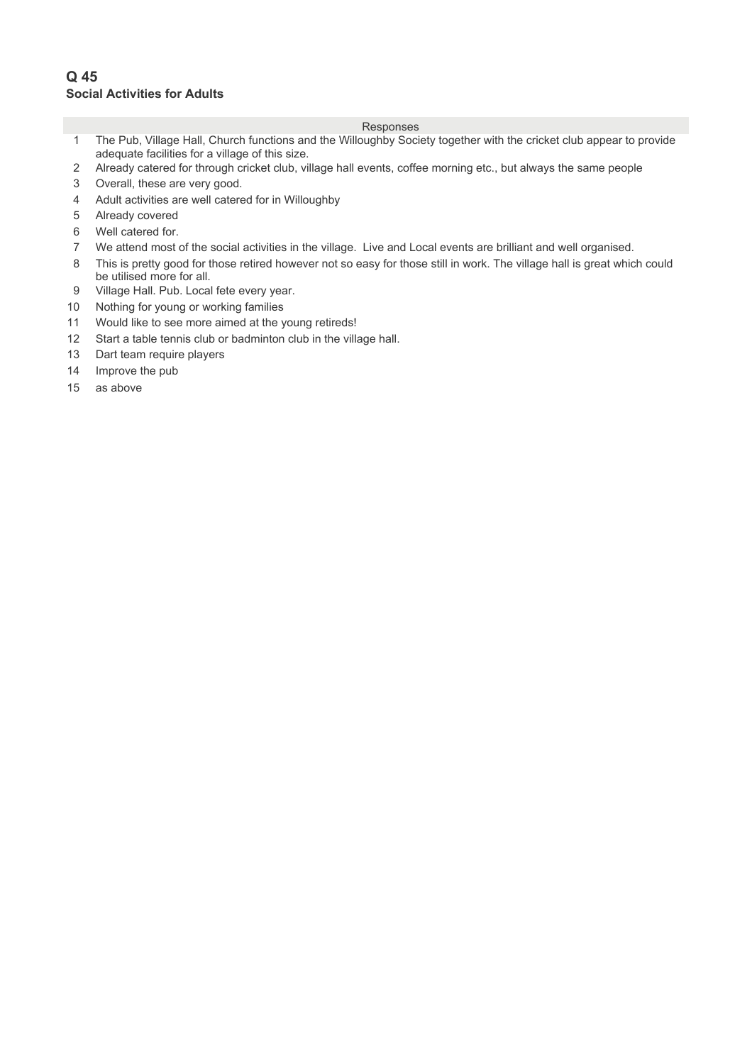## **Q 45 Social Activities for Adults**

- 1 The Pub, Village Hall, Church functions and the Willoughby Society together with the cricket club appear to provide adequate facilities for a village of this size.
- 2 Already catered for through cricket club, village hall events, coffee morning etc., but always the same people
- 3 Overall, these are very good.
- 4 Adult activities are well catered for in Willoughby
- 5 Already covered
- 6 Well catered for.
- 7 We attend most of the social activities in the village. Live and Local events are brilliant and well organised.
- 8 This is pretty good for those retired however not so easy for those still in work. The village hall is great which could be utilised more for all.
- 9 Village Hall. Pub. Local fete every year.
- 10 Nothing for young or working families
- 11 Would like to see more aimed at the young retireds!
- 12 Start a table tennis club or badminton club in the village hall.
- 13 Dart team require players
- 14 Improve the pub
- $15$  as above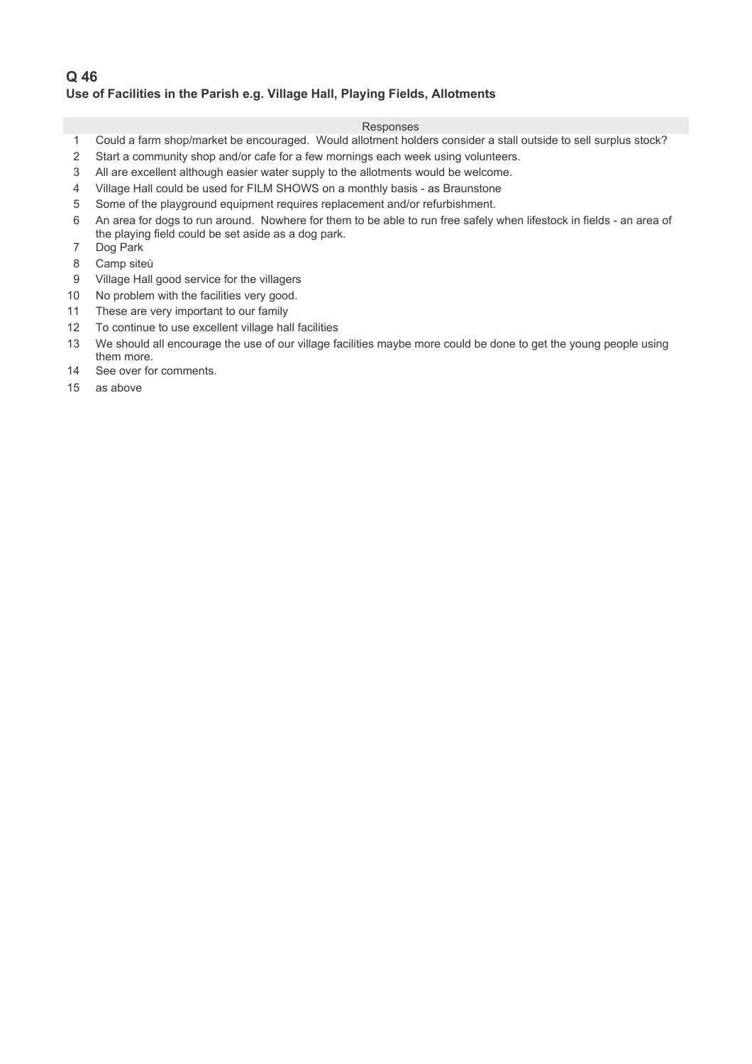## **Q 46 Use of Facilities in the Parish e.g. Village Hall, Playing Fields, Allotments**

- 1 Could a farm shop/market be encouraged. Would allotment holders consider a stall outside to sell surplus stock?
- 2 Start a community shop and/or cafe for a few mornings each week using volunteers.
- 3 All are excellent although easier water supply to the allotments would be welcome.
- 4 Village Hall could be used for FILM SHOWS on a monthly basis as Braunstone
- 5 Some of the playground equipment requires replacement and/or refurbishment.
- 6 An area for dogs to run around. Nowhere for them to be able to run free safely when lifestock in fields an area of the playing field could be set aside as a dog park.
- 7 Dog Park
- 8 Camp siteù
- 9 Village Hall good service for the villagers
- 10 No problem with the facilities very good.
- 11 These are very important to our family
- 12 To continue to use excellent village hall facilities
- 13 We should all encourage the use of our village facilities maybe more could be done to get the young people using them more.
- 14 See over for comments.
- $15$  as above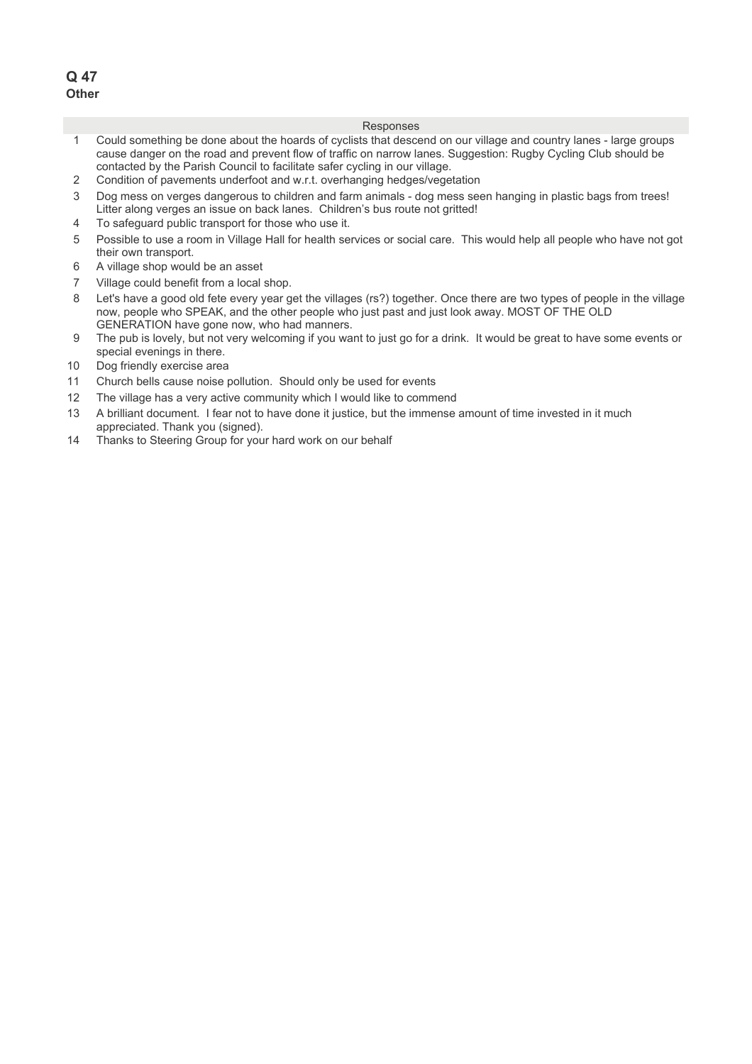## **Q 47 Other**

- 1 Could something be done about the hoards of cyclists that descend on our village and country lanes large groups cause danger on the road and prevent flow of traffic on narrow lanes. Suggestion: Rugby Cycling Club should be contacted by the Parish Council to facilitate safer cycling in our village.
- 2 Condition of pavements underfoot and w.r.t. overhanging hedges/vegetation
- 3 8 Dog mess on verges dangerous to children and farm animals dog mess seen hanging in plastic bags from trees! Litter along verges an issue on back lanes. Children's bus route not gritted!
- 4 To safeguard public transport for those who use it.
- 5 Possible to use a room in Village Hall for health services or social care. This would help all people who have not got their own transport.
- 6 A village shop would be an asset
- 7 Village could benefit from a local shop.
- 8 Let's have a good old fete every year get the villages (rs?) together. Once there are two types of people in the village now, people who SPEAK, and the other people who just past and just look away. MOST OF THE OLD GENERATION have gone now, who had manners.
- 9 The pub is lovely, but not very welcoming if you want to just go for a drink. It would be great to have some events or special evenings in there.
- 10 Dog friendly exercise area
- 11 Church bells cause noise pollution. Should only be used for events
- 12 The village has a very active community which I would like to commend
- 13 A brilliant document. I fear not to have done it justice, but the immense amount of time invested in it much appreciated. Thank you (signed).
- 14 Thanks to Steering Group for your hard work on our behalf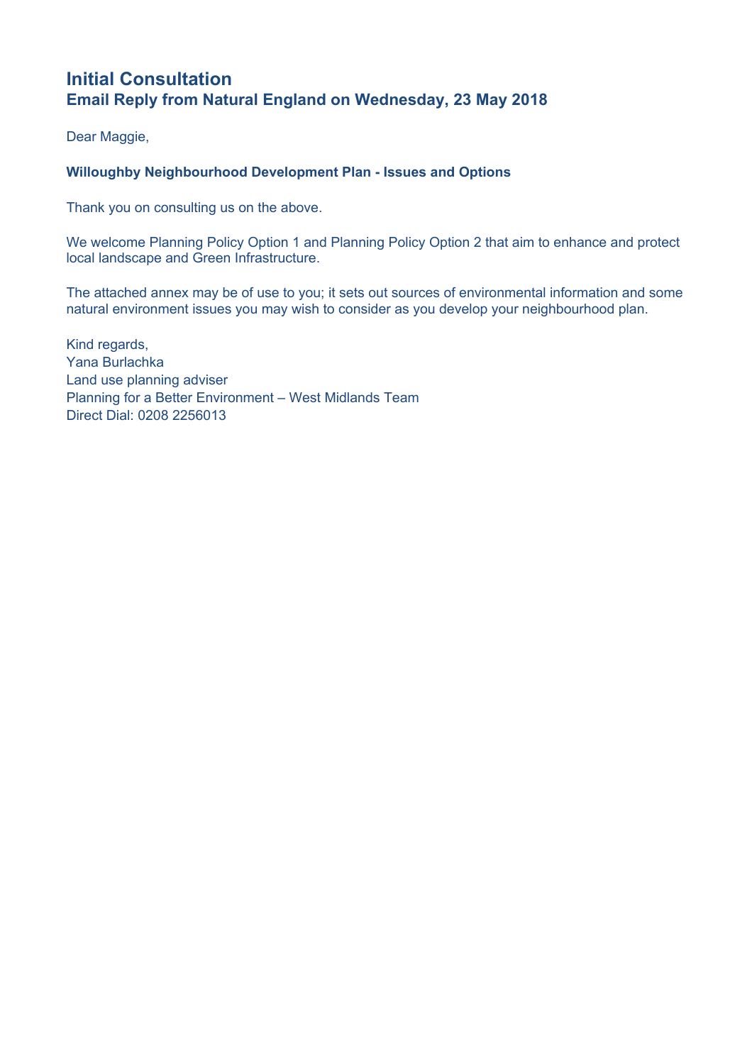# **Initial Consultation Email Reply from Natural England on Wednesday, 23 May 2018**

Dear Maggie,

## **Willoughby Neighbourhood Development Plan - Issues and Options**

Thank you on consulting us on the above.

We welcome Planning Policy Option 1 and Planning Policy Option 2 that aim to enhance and protect local landscape and Green Infrastructure.

The attached annex may be of use to you; it sets out sources of environmental information and some natural environment issues you may wish to consider as you develop your neighbourhood plan.

Kind regards, Yana Burlachka Land use planning adviser Planning for a Better Environment – West Midlands Team Direct Dial: 0208 2256013